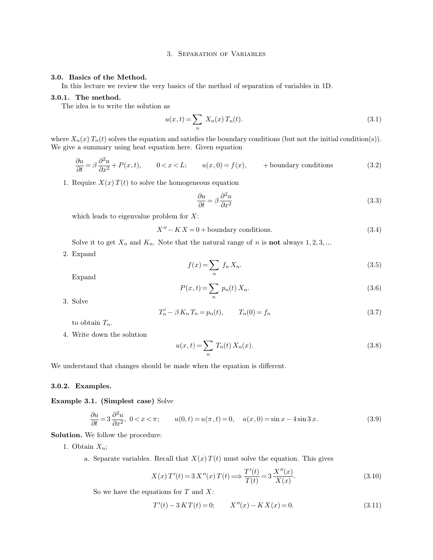### 3. Separation of Variables

### **3.0. Basics of the Method.**

In this lecture we review the very basics of the method of separation of variables in 1D.

### **3.0.1. The method.**

The idea is to write the solution as

$$
u(x,t) = \sum_{n} X_n(x) T_n(t).
$$
 (3.1)

where  $X_n(x)$   $T_n(t)$  solves the equation and satisfies the boundary conditions (but not the initial condition(s)). We give a summary using heat equation here. Given equation

$$
\frac{\partial u}{\partial t} = \beta \frac{\partial^2 u}{\partial x^2} + P(x, t), \qquad 0 < x < L; \qquad u(x, 0) = f(x), \qquad + \text{boundary conditions} \tag{3.2}
$$

1. Require  $X(x) T(t)$  to solve the homogeneous equation

$$
\frac{\partial u}{\partial t} = \beta \frac{\partial^2 u}{\partial x^2} \tag{3.3}
$$

which leads to eigenvalue problem for  $X$ :

$$
X'' - KX = 0 + \text{boundary conditions.} \tag{3.4}
$$

Solve it to get  $X_n$  and  $K_n$ . Note that the natural range of n is **not** always  $1, 2, 3, ...$ 

2. Expand

$$
f(x) = \sum_{n} f_n X_n.
$$
\n(3.5)

Expand

$$
P(x,t) = \sum_{n} p_n(t) X_n.
$$
\n
$$
(3.6)
$$

3. Solve

$$
T'_{n} - \beta K_{n} T_{n} = p_{n}(t), \qquad T_{n}(0) = f_{n}
$$
\n(3.7)

to obtain  $T_n$ .

4. Write down the solution

$$
u(x,t) = \sum_{n} T_n(t) X_n(x).
$$
 (3.8)

We understand that changes should be made when the equation is different.

### **3.0.2. Examples.**

### **Example 3.1. (Simplest case)** Solve

$$
\frac{\partial u}{\partial t} = 3 \frac{\partial^2 u}{\partial x^2}, \quad 0 < x < \pi; \qquad u(0, t) = u(\pi, t) = 0, \quad u(x, 0) = \sin x - 4 \sin 3x. \tag{3.9}
$$

**Solution.** We follow the procedure:

1. Obtain  $X_n$ ;

a. Separate variables. Recall that  $X(x) T(t)$  must solve the equation. This gives

$$
X(x) T'(t) = 3 X''(x) T(t) \Longrightarrow \frac{T'(t)}{T(t)} = 3 \frac{X''(x)}{X(x)}.
$$
 (3.10)

So we have the equations for  $T$  and  $X$ :

$$
T'(t) - 3KT(t) = 0; \t X''(x) - KX(x) = 0.
$$
\t(3.11)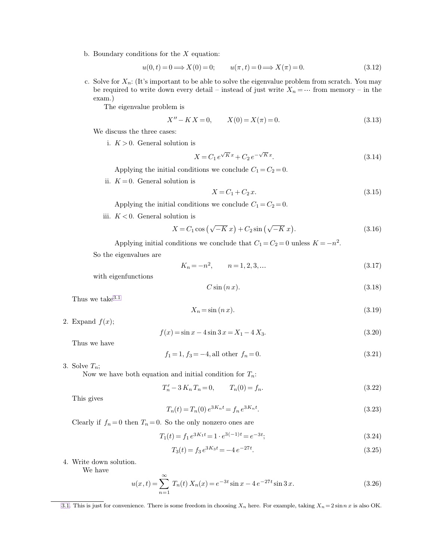b. Boundary conditions for the  $X$  equation:

<span id="page-1-0"></span>
$$
u(0,t) = 0 \Longrightarrow X(0) = 0; \qquad u(\pi, t) = 0 \Longrightarrow X(\pi) = 0. \tag{3.12}
$$

c. Solve for  $X_n$ : (It's important to be able to solve the eigenvalue problem from scratch. You may be required to write down every detail – instead of just write  $X_n = \cdots$  from memory – in the exam.)

The eigenvalue problem is

$$
X'' - K X = 0, \t X(0) = X(\pi) = 0.
$$
\t(3.13)

We discuss the three cases:

i.  $K > 0$ . General solution is

$$
X = C_1 e^{\sqrt{K}x} + C_2 e^{-\sqrt{K}x}.
$$
\n(3.14)

Applying the initial conditions we conclude  $C_1 = C_2 = 0$ .

ii.  $K = 0$ . General solution is

$$
X = C_1 + C_2 x.
$$
\n(3.15)

Applying the initial conditions we conclude  $C_1 = C_2 = 0$ .

iii.  $K < 0$ . General solution is

$$
X = C_1 \cos\left(\sqrt{-K} x\right) + C_2 \sin\left(\sqrt{-K} x\right). \tag{3.16}
$$

Applying initial conditions we conclude that  $C_1 = C_2 = 0$  unless  $K = -n^2$ .

So the eigenvalues are

$$
K_n = -n^2, \qquad n = 1, 2, 3, \dots \tag{3.17}
$$

with eigenfunctions

$$
C\sin\left(n\,x\right). \tag{3.18}
$$

Thus we take 3.1

$$
X_n = \sin\left(n x\right). \tag{3.19}
$$

2. Expand  $f(x)$ ;

$$
f(x) = \sin x - 4\sin 3x = X_1 - 4X_3. \tag{3.20}
$$

Thus we have

$$
f_1 = 1, f_3 = -4, \text{all other } f_n = 0. \tag{3.21}
$$

3. Solve  $T_n$ ;

Now we have both equation and initial condition for  $T_n$ :

$$
T'_n - 3 K_n T_n = 0, \qquad T_n(0) = f_n. \tag{3.22}
$$

This gives

$$
T_n(t) = T_n(0) e^{3K_n t} = f_n e^{3K_n t}.
$$
\n(3.23)

Clearly if  $f_n = 0$  then  $T_n = 0$ . So the only nonzero ones are

∞

$$
T_1(t) = f_1 e^{3K_1 t} = 1 \cdot e^{3(-1)t} = e^{-3t};\tag{3.24}
$$

$$
T_3(t) = f_3 e^{3K_3 t} = -4 e^{-27t}.
$$
\n(3.25)

4. Write down solution.

We have

$$
u(x,t) = \sum_{n=1}^{\infty} T_n(t) X_n(x) = e^{-3t} \sin x - 4e^{-27t} \sin 3x.
$$
 (3.26)

[<sup>3.1.</sup>](#page-1-0) This is just for convenience. There is some freedom in choosing  $X_n$  here. For example, taking  $X_n = 2 \sin nx$  is also OK.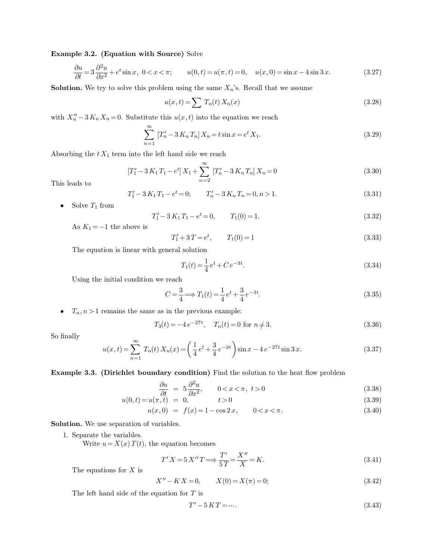### **Example 3.2. (Equation with Source)** Solve

$$
\frac{\partial u}{\partial t} = 3 \frac{\partial^2 u}{\partial x^2} + e^t \sin x, \ 0 < x < \pi; \qquad u(0, t) = u(\pi, t) = 0, \quad u(x, 0) = \sin x - 4 \sin 3x. \tag{3.27}
$$

**Solution.** We try to solve this problem using the same  $X_n$ 's. Recall that we assume

$$
u(x,t) = \sum T_n(t) X_n(x) \tag{3.28}
$$

with  $X_n'' - 3K_n X_n = 0$ . Substitute this  $u(x, t)$  into the equation we reach

$$
\sum_{n=1}^{\infty} [T'_n - 3 K_n T_n] X_n = t \sin x = e^t X_1.
$$
\n(3.29)

Absorbing the  $t X_1$  term into the left hand side we reach

$$
\left[T'_1 - 3K_1T_1 - e^t\right]X_1 + \sum_{n=2}^{\infty} \left[T'_n - 3K_nT_n\right]X_n = 0\tag{3.30}
$$

This leads to

$$
T'_1 - 3K_1T_1 - e^t = 0; \t T'_n - 3K_nT_n = 0, n > 1.
$$
\t(3.31)

• Solve  $T_1$  from

$$
T'_1 - 3 K_1 T_1 - e^t = 0, \qquad T_1(0) = 1. \tag{3.32}
$$

As  $K_1 = -1$  the above is

$$
T_1' + 3T = e^t, \qquad T_1(0) = 1 \tag{3.33}
$$

The equation is linear with general solution

$$
T_1(t) = \frac{1}{4}e^t + Ce^{-3t}.\tag{3.34}
$$

Using the initial condition we reach

$$
C = \frac{3}{4} \Longrightarrow T_1(t) = \frac{1}{4}e^t + \frac{3}{4}e^{-3t}.
$$
\n(3.35)

•  $T_n, n > 1$  remains the same as in the previous example:

$$
T_3(t) = -4e^{-27t}, \quad T_n(t) = 0 \text{ for } n \neq 3.
$$
 (3.36)

So finally

$$
u(x,t) = \sum_{n=1}^{\infty} T_n(t) X_n(x) = \left(\frac{1}{4}e^t + \frac{3}{4}e^{-3t}\right) \sin x - 4e^{-27t} \sin 3x.
$$
 (3.37)

**Example 3.3. (Dirichlet boundary condition)** Find the solution to the heat flow problem

$$
\frac{\partial u}{\partial t} = 5 \frac{\partial^2 u}{\partial x^2}, \qquad 0 < x < \pi, \ t > 0 \tag{3.38}
$$

$$
u(0,t) = u(\pi, t) = 0, \qquad t > 0 \tag{3.39}
$$

$$
u(x,0) = f(x) = 1 - \cos 2x, \qquad 0 < x < \pi. \tag{3.40}
$$

**Solution.** We use separation of variables.

1. Separate the variables.

Write  $u = X(x) T(t)$ , the equation becomes

$$
T'X = 5 X''T \Longrightarrow \frac{T'}{5T} = \frac{X''}{X} = K.
$$
\n(3.41)

The equations for  $X$  is

$$
X'' - KX = 0, \qquad X(0) = X(\pi) = 0;
$$
\n(3.42)

The left hand side of the equation for  $T$  is

$$
T' - 5KT = \cdots. \tag{3.43}
$$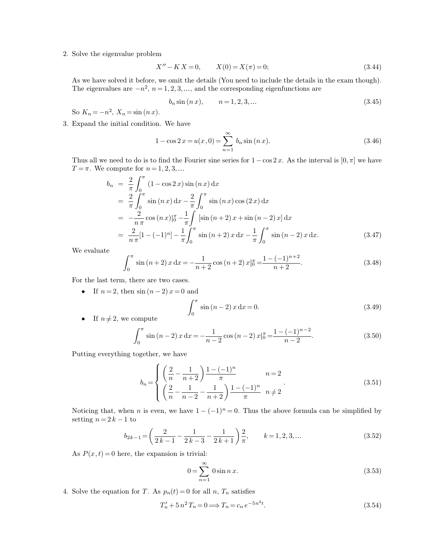2. Solve the eigenvalue problem

$$
X'' - KX = 0, \qquad X(0) = X(\pi) = 0;
$$
\n(3.44)

As we have solved it before, we omit the details (You need to include the details in the exam though). The eigenvalues are  $-n^2$ ,  $n = 1, 2, 3, \dots$ , and the corresponding eigenfunctions are

$$
b_n \sin(n x), \qquad n = 1, 2, 3, \dots \tag{3.45}
$$

So  $K_n = -n^2$ ,  $X_n = \sin(n x)$ .

3. Expand the initial condition. We have

$$
1 - \cos 2x = u(x, 0) = \sum_{n=1}^{\infty} b_n \sin (n x).
$$
 (3.46)

Thus all we need to do is to find the Fourier sine series for  $1-\cos 2 x$ . As the interval is  $[0, \pi]$  we have  $T = \pi$ . We compute for  $n = 1, 2, 3, ...$ 

$$
b_n = \frac{2}{\pi} \int_0^{\pi} (1 - \cos 2x) \sin (n x) dx
$$
  
\n
$$
= \frac{2}{\pi} \int_0^{\pi} \sin (n x) dx - \frac{2}{\pi} \int_0^{\pi} \sin (n x) \cos (2 x) dx
$$
  
\n
$$
= -\frac{2}{n \pi} \cos (n x) \Big|_0^{\pi} - \frac{1}{\pi} \int_0^{\pi} [\sin (n + 2) x + \sin (n - 2) x] dx
$$
  
\n
$$
= \frac{2}{n \pi} [1 - (-1)^n] - \frac{1}{\pi} \int_0^{\pi} \sin (n + 2) x dx - \frac{1}{\pi} \int_0^{\pi} \sin (n - 2) x dx.
$$
 (3.47)

We evaluate

$$
\int_0^\pi \sin(n+2)x \, dx = -\frac{1}{n+2} \cos(n+2)x \vert_0^\pi = \frac{1 - (-1)^{n+2}}{n+2}.
$$
 (3.48)

For the last term, there are two cases.

• If  $n = 2$ , then  $sin(n-2)x = 0$  and

$$
\int_0^\pi \sin(n-2)x \, dx = 0.
$$
 (3.49)

• If  $n \neq 2$ , we compute

$$
\int_0^\pi \sin(n-2)x \, dx = -\frac{1}{n-2} \cos(n-2)x \Big|_0^\pi = \frac{1 - (-1)^{n-2}}{n-2}.
$$
\n(3.50)

Putting everything together, we have

$$
b_n = \begin{cases} \left(\frac{2}{n} - \frac{1}{n+2}\right) \frac{1 - (-1)^n}{\pi} & n = 2\\ \left(\frac{2}{n} - \frac{1}{n-2} - \frac{1}{n+2}\right) \frac{1 - (-1)^n}{\pi} & n \neq 2 \end{cases} \tag{3.51}
$$

Noticing that, when *n* is even, we have  $1 - (-1)^n = 0$ . Thus the above formula can be simplified by setting  $n = 2k - 1$  to

$$
b_{2k-1} = \left(\frac{2}{2k-1} - \frac{1}{2k-3} - \frac{1}{2k+1}\right) \frac{2}{\pi}, \qquad k = 1, 2, 3, \dots
$$
 (3.52)

As  $P(x, t) = 0$  here, the expansion is trivial:

$$
0 = \sum_{n=1}^{\infty} 0 \sin n x. \tag{3.53}
$$

4. Solve the equation for T. As  $p_n(t) = 0$  for all n,  $T_n$  satisfies

$$
T'_n + 5 n^2 T_n = 0 \Longrightarrow T_n = c_n e^{-5n^2 t}.
$$
\n(3.54)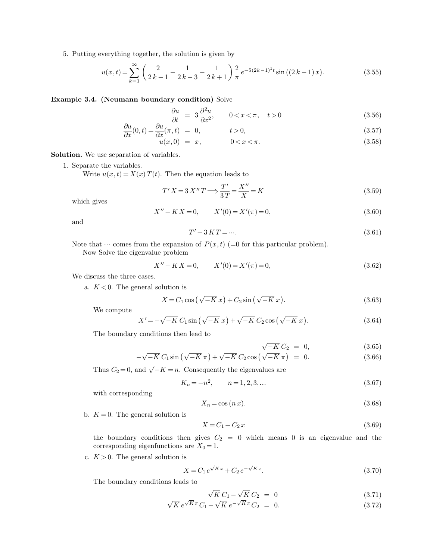5. Putting everything together, the solution is given by

$$
u(x,t) = \sum_{k=1}^{\infty} \left( \frac{2}{2k-1} - \frac{1}{2k-3} - \frac{1}{2k+1} \right) \frac{2}{\pi} e^{-5(2k-1)^2 t} \sin((2k-1)x).
$$
 (3.55)

### **Example 3.4. (Neumann boundary condition)** Solve

$$
\frac{\partial u}{\partial t} = 3 \frac{\partial^2 u}{\partial x^2}, \qquad 0 < x < \pi, \quad t > 0 \tag{3.56}
$$

$$
\frac{\partial u}{\partial x}(0,t) = \frac{\partial u}{\partial x}(\pi, t) = 0, \qquad t > 0,
$$
\n(3.57)

$$
u(x,0) = x, \t 0 < x < \pi.
$$
\t(3.58)

**Solution.** We use separation of variables.

1. Separate the variables.

Write  $u(x, t) = X(x) T(t)$ . Then the equation leads to

$$
T'X = 3 X''T \Longrightarrow \frac{T'}{3T} = \frac{X''}{X} = K
$$
\n<sup>(3.59)</sup>

which gives

$$
X'' - KX = 0, \qquad X'(0) = X'(\pi) = 0,
$$
\n(3.60)

and

$$
T' - 3KT = \cdots. \tag{3.61}
$$

Note that  $\cdots$  comes from the expansion of  $P(x, t)$  (=0 for this particular problem).

Now Solve the eigenvalue problem

$$
X'' - KX = 0, \qquad X'(0) = X'(\pi) = 0,
$$
\n(3.62)

We discuss the three cases.

a.  $K < 0$ . The general solution is

$$
X = C_1 \cos\left(\sqrt{-K} x\right) + C_2 \sin\left(\sqrt{-K} x\right). \tag{3.63}
$$

We compute

$$
X' = -\sqrt{-K} C_1 \sin(\sqrt{-K} x) + \sqrt{-K} C_2 \cos(\sqrt{-K} x).
$$
 (3.64)

The boundary conditions then lead to

$$
\sqrt{-K} C_2 = 0, \tag{3.65}
$$

$$
-\sqrt{-K} C_1 \sin \left(\sqrt{-K} \pi\right) + \sqrt{-K} C_2 \cos \left(\sqrt{-K} \pi\right) = 0. \tag{3.66}
$$

Thus  $C_2 = 0$ , and  $\sqrt{-K} = n$ . Consequently the eigenvalues are

$$
K_n = -n^2, \qquad n = 1, 2, 3, \dots \tag{3.67}
$$

with corresponding

$$
X_n = \cos\left(n x\right). \tag{3.68}
$$

b.  $K = 0$ . The general solution is

$$
X = C_1 + C_2 x \tag{3.69}
$$

the boundary conditions then gives  $C_2 = 0$  which means 0 is an eigenvalue and the corresponding eigenfunctions are  $X_0 = 1$ .

c.  $K > 0$ . The general solution is

$$
X = C_1 e^{\sqrt{K}x} + C_2 e^{-\sqrt{K}x}.
$$
\n(3.70)

The boundary conditions leads to

$$
\sqrt{K} C_1 - \sqrt{K} C_2 = 0 \qquad (3.71)
$$

$$
\sqrt{K} \, e^{\sqrt{K}\,\pi} \, C_1 - \sqrt{K} \, e^{-\sqrt{K}\,\pi} \, C_2 = 0. \tag{3.72}
$$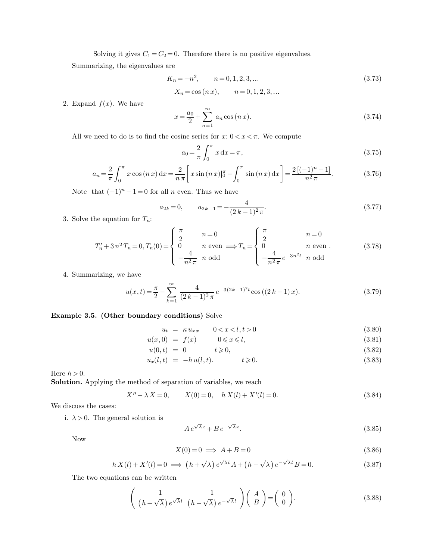Solving it gives  $C_1 = C_2 = 0$ . Therefore there is no positive eigenvalues. Summarizing, the eigenvalues are

$$
K_n = -n^2, \qquad n = 0, 1, 2, 3, \dots \tag{3.73}
$$

$$
X_n = \cos(n x),
$$
  $n = 0, 1, 2, 3, ...$ 

2. Expand  $f(x)$ . We have

$$
x = \frac{a_0}{2} + \sum_{n=1}^{\infty} a_n \cos(n x).
$$
 (3.74)

All we need to do is to find the cosine series for  $x: 0 < x < \pi$ . We compute

$$
a_0 = \frac{2}{\pi} \int_0^{\pi} x \, dx = \pi,
$$
\n(3.75)

$$
a_n = \frac{2}{\pi} \int_0^{\pi} x \cos(nx) dx = \frac{2}{n\pi} \left[ x \sin(nx) \Big|_0^{\pi} - \int_0^{\pi} \sin(nx) dx \right] = \frac{2 \left[ (-1)^n - 1 \right]}{n^2 \pi}.
$$
 (3.76)

Note that  $(-1)^n - 1 = 0$  for all *n* even. Thus we have

$$
a_{2k} = 0, \qquad a_{2k-1} = -\frac{4}{(2k-1)^2 \pi}.
$$
\n(3.77)

3. Solve the equation for  $T_n$ :

$$
T'_{n} + 3 n^{2} T_{n} = 0, T_{n}(0) = \begin{cases} \frac{\pi}{2} & n = 0 \\ 0 & n \text{ even} \implies T_{n} = \begin{cases} \frac{\pi}{2} & n = 0 \\ 0 & n \text{ even} \\ -\frac{4}{n^{2} \pi} & n \text{ odd} \end{cases}
$$
(3.78)

4. Summarizing, we have

$$
u(x,t) = \frac{\pi}{2} - \sum_{k=1}^{\infty} \frac{4}{(2k-1)^2 \pi} e^{-3(2k-1)^2 t} \cos((2k-1)x).
$$
 (3.79)

## **Example 3.5. (Other boundary conditions)** Solve

$$
u_t = \kappa u_{xx} \qquad 0 < x < l, t > 0 \tag{3.80}
$$

$$
u(x,0) = f(x) \qquad 0 \leq x \leq l, \tag{3.81}
$$

$$
u(0,t) = 0 \qquad t \geqslant 0,\tag{3.82}
$$

$$
u_x(l,t) = -h u(l,t). \qquad t \geqslant 0. \tag{3.83}
$$

Here  $h > 0$ .

**Solution.** Applying the method of separation of variables, we reach

$$
X'' - \lambda X = 0, \qquad X(0) = 0, \quad h X(l) + X'(l) = 0.
$$
\n(3.84)

We discuss the cases:

i.  $\lambda > 0$ . The general solution is

$$
A e^{\sqrt{\lambda}x} + B e^{-\sqrt{\lambda}x}.
$$
 (3.85)

Now

$$
X(0) = 0 \implies A + B = 0 \tag{3.86}
$$

$$
h X(l) + X'(l) = 0 \implies (h + \sqrt{\lambda}) e^{\sqrt{\lambda}l} A + (h - \sqrt{\lambda}) e^{-\sqrt{\lambda}l} B = 0.
$$
 (3.87)

The two equations can be written

$$
\left(\begin{array}{cc}1 & 1\\ (h+\sqrt{\lambda})e^{\sqrt{\lambda}l} & (h-\sqrt{\lambda})e^{-\sqrt{\lambda}l}\end{array}\right)\left(\begin{array}{c}A\\ B\end{array}\right)=\left(\begin{array}{c}0\\ 0\end{array}\right).
$$
 (3.88)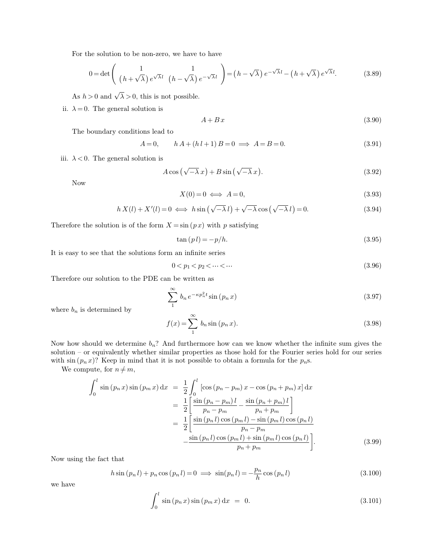For the solution to be non-zero, we have to have

$$
0 = \det \left( \frac{1}{(h + \sqrt{\lambda}) e^{\sqrt{\lambda} l}} \frac{1}{(h - \sqrt{\lambda}) e^{-\sqrt{\lambda} l}} \right) = (h - \sqrt{\lambda}) e^{-\sqrt{\lambda} l} - (h + \sqrt{\lambda}) e^{\sqrt{\lambda} l}.
$$
 (3.89)

As  $h > 0$  and  $\sqrt{\lambda} > 0$ , this is not possible.

ii.  $\lambda = 0$ . The general solution is

$$
A + Bx \tag{3.90}
$$

The boundary conditions lead to

$$
A = 0, \t h A + (h l + 1) B = 0 \implies A = B = 0.
$$
\t(3.91)

iii.  $\lambda < 0$ . The general solution is

$$
A\cos\left(\sqrt{-\lambda}x\right) + B\sin\left(\sqrt{-\lambda}x\right). \tag{3.92}
$$

Now

$$
X(0) = 0 \iff A = 0,\tag{3.93}
$$

$$
h X(l) + X'(l) = 0 \iff h \sin(\sqrt{-\lambda} l) + \sqrt{-\lambda} \cos(\sqrt{-\lambda} l) = 0. \tag{3.94}
$$

Therefore the solution is of the form  $X = \sin(px)$  with p satisfying

$$
\tan\left(p\,l\right) = -\,/\,h.\tag{3.95}
$$

It is easy to see that the solutions form an infinite series

$$
0 < p_1 < p_2 < \dots < \dots \tag{3.96}
$$

Therefore our solution to the PDE can be written as

$$
\sum_{1}^{\infty} b_n e^{-\kappa p_n^2 t} \sin(p_n x) \tag{3.97}
$$

where  $b_n$  is determined by

$$
f(x) = \sum_{n=1}^{\infty} b_n \sin (p_n x). \tag{3.98}
$$

Now how should we determine  $b_n$ ? And furthermore how can we know whether the infinite sum gives the solution – or equivalently whether similar properties as those hold for the Fourier series hold for our series with  $\sin (p_n x)$ ? Keep in mind that it is not possible to obtain a formula for the  $p_n$ s.

We compute, for  $n \neq m$ ,

$$
\int_{0}^{l} \sin (p_{n} x) \sin (p_{m} x) dx = \frac{1}{2} \int_{0}^{l} [\cos (p_{n} - p_{m}) x - \cos (p_{n} + p_{m}) x] dx
$$
  
\n
$$
= \frac{1}{2} \left[ \frac{\sin (p_{n} - p_{m}) l}{p_{n} - p_{m}} - \frac{\sin (p_{n} + p_{m}) l}{p_{n} + p_{m}} \right]
$$
  
\n
$$
= \frac{1}{2} \left[ \frac{\sin (p_{n} l) \cos (p_{m} l) - \sin (p_{m} l) \cos (p_{n} l)}{p_{n} - p_{m}} - \frac{\sin (p_{n} l) \cos (p_{m} l) + \sin (p_{m} l) \cos (p_{n} l)}{p_{n} + p_{m}} \right].
$$
\n(3.99)

Now using the fact that

$$
h\sin\left(p_n l\right) + p_n \cos\left(p_n l\right) = 0 \implies \sin\left(p_n l\right) = -\frac{p_n}{h} \cos\left(p_n l\right) \tag{3.100}
$$

we have

$$
\int_0^l \sin (p_n x) \sin (p_m x) dx = 0.
$$
 (3.101)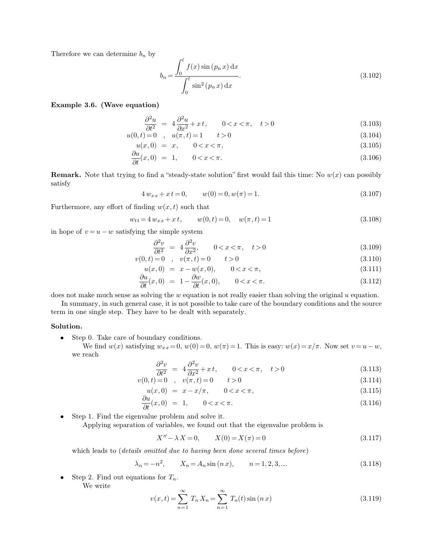Therefore we can determine  $b_n$  by

$$
b_n = \frac{\int_0^l f(x) \sin (p_n x) dx}{\int_0^l \sin^2 (p_n x) dx}.
$$
\n(3.102)

## **Example 3.6. (Wave equation)**

$$
\frac{\partial^2 u}{\partial t^2} = 4 \frac{\partial^2 u}{\partial x^2} + x t, \qquad 0 < x < \pi, \quad t > 0 \tag{3.103}
$$

$$
u(0,t) = 0, \t u(\pi,t) = 1, \t t > 0
$$
  
(3.104)  

$$
u(x,0) = x, \t 0 < x < \pi,
$$
  
(3.105)

$$
u(x,0) = x, \qquad 0 < x < \pi,\tag{3.105}
$$

$$
\frac{\partial u}{\partial t}(x,0) = 1, \qquad 0 < x < \pi. \tag{3.106}
$$

**Remark.** Note that trying to find a "steady-state solution" first would fail this time: No  $w(x)$  can possibly satisfy

$$
4 w_{xx} + x t = 0, \qquad w(0) = 0, w(\pi) = 1.
$$
\n(3.107)

Furthermore, any effort of finding  $w(x, t)$  such that

$$
w_{tt} = 4 w_{xx} + x t, \qquad w(0, t) = 0, \quad w(\pi, t) = 1 \tag{3.108}
$$

in hope of  $v = u - w$  satisfying the simple system

$$
\frac{\partial^2 v}{\partial t^2} = 4 \frac{\partial^2 v}{\partial x^2}, \qquad 0 < x < \pi, \quad t > 0 \tag{3.109}
$$

$$
v(0,t) = 0 \quad , \quad v(\pi, t) = 0 \qquad t > 0 \tag{3.110}
$$

$$
u(x,0) = x - w(x,0), \qquad 0 < x < \pi,\tag{3.111}
$$

$$
\frac{\partial u}{\partial t}(x,0) = 1 - \frac{\partial w}{\partial t}(x,0), \qquad 0 < x < \pi. \tag{3.112}
$$

does not make much sense as solving the  $w$  equation is not really easier than solving the original  $u$  equation.

 $\sim$ 

In summary, in such general case, it is not possible to take care of the boundary conditions and the source term in one single step. They have to be dealt with separately.

### **Solution.**

- Step 0. Take care of boundary conditions.
	- We find  $w(x)$  satisfying  $w_{xx} = 0$ ,  $w(0) = 0$ ,  $w(\pi) = 1$ . This is easy:  $w(x) = x/\pi$ . Now set  $v = u w$ , we reach

$$
\frac{\partial^2 v}{\partial t^2} = 4 \frac{\partial^2 v}{\partial x^2} + x t, \qquad 0 < x < \pi, \quad t > 0 \tag{3.113}
$$

$$
v(0,t) = 0 \quad , \quad v(\pi, t) = 0 \qquad t > 0 \tag{3.114}
$$

$$
u(x,0) = x - x/\pi, \qquad 0 < x < \pi,\tag{3.115}
$$

$$
\frac{\partial u}{\partial t}(x,0) = 1, \qquad 0 < x < \pi. \tag{3.116}
$$

• Step 1. Find the eigenvalue problem and solve it. Applying separation of variables, we found out that the eigenvalue problem is

$$
X'' - \lambda X = 0, \qquad X(0) = X(\pi) = 0 \tag{3.117}
$$

which leads to (*details omitted due to having been done several times before*)

$$
\lambda_n = -n^2, \qquad X_n = A_n \sin(n \, x), \qquad n = 1, 2, 3, \dots \tag{3.118}
$$

• Step 2. Find out equations for  $T_n$ .

We write

$$
v(x,t) = \sum_{n=1}^{\infty} T_n X_n = \sum_{n=1}^{\infty} T_n(t) \sin (n x)
$$
 (3.119)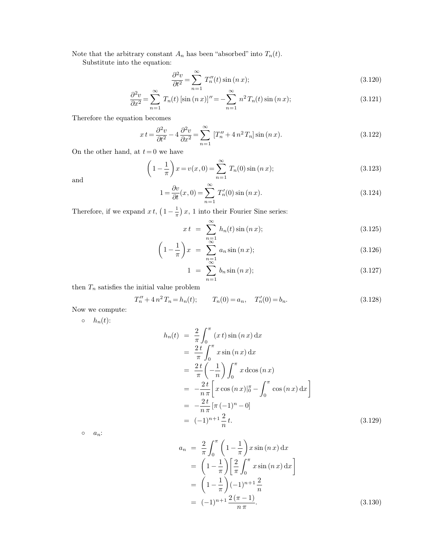Note that the arbitrary constant  $A_n$  has been "absorbed" into  $T_n(t)$ .

Substitute into the equation:

$$
\frac{\partial^2 v}{\partial t^2} = \sum_{n=1}^{\infty} T_n''(t) \sin(n x); \tag{3.120}
$$

$$
\frac{\partial^2 v}{\partial x^2} = \sum_{n=1}^{\infty} T_n(t) \left[ \sin(n \, x) \right]'' = -\sum_{n=1}^{\infty} n^2 \, T_n(t) \sin(n \, x); \tag{3.121}
$$

Therefore the equation becomes

$$
xt = \frac{\partial^2 v}{\partial t^2} - 4 \frac{\partial^2 v}{\partial x^2} = \sum_{n=1}^{\infty} \left[ T_n'' + 4 n^2 T_n \right] \sin(n x). \tag{3.122}
$$

On the other hand, at  $t = 0$  we have

$$
\left(1 - \frac{1}{\pi}\right)x = v(x, 0) = \sum_{n=1}^{\infty} T_n(0) \sin(n x);
$$
\n(3.123)

and

$$
1 = \frac{\partial v}{\partial t}(x, 0) = \sum_{n=1}^{\infty} T'_n(0) \sin (n x).
$$
 (3.124)

Therefore, if we expand  $x t$ ,  $\left(1 - \frac{1}{\pi}\right)$  $\frac{1}{\pi}$ ) x, 1 into their Fourier Sine series:

$$
xt = \sum_{n=1}^{\infty} h_n(t) \sin(n x); \qquad (3.125)
$$

$$
\left(1 - \frac{1}{\pi}\right)x = \sum_{\substack{n=1 \ \infty}}^{\infty} a_n \sin\left(n x\right);
$$
\n(3.126)

$$
1 = \sum_{n=1}^{\infty} b_n \sin(n x); \tag{3.127}
$$

then  $T_n$  satisfies the initial value problem

$$
T_n'' + 4n^2 T_n = h_n(t); \t T_n(0) = a_n, \t T_n'(0) = b_n.
$$
\t(3.128)

Now we compute:

 $\circ$   $h_n(t)$ :

$$
h_n(t) = \frac{2}{\pi} \int_0^{\pi} (x \, t) \sin(n \, x) \, dx
$$
  
\n
$$
= \frac{2 \, t}{\pi} \int_0^{\pi} x \sin(n \, x) \, dx
$$
  
\n
$$
= \frac{2 \, t}{\pi} \left( -\frac{1}{n} \right) \int_0^{\pi} x \, d\cos(n \, x)
$$
  
\n
$$
= -\frac{2 \, t}{n \, \pi} \left[ x \cos(n \, x) \right]_0^{\pi} - \int_0^{\pi} \cos(n \, x) \, dx
$$
  
\n
$$
= -\frac{2 \, t}{n \, \pi} \left[ \pi \, (-1)^n - 0 \right]
$$
  
\n
$$
= (-1)^{n+1} \frac{2}{n} \, t.
$$
\n(3.129)

 $\circ$   $a_n$ :

$$
a_n = \frac{2}{\pi} \int_0^{\pi} \left( 1 - \frac{1}{\pi} \right) x \sin (n x) dx
$$
  
=  $\left( 1 - \frac{1}{\pi} \right) \left[ \frac{2}{\pi} \int_0^{\pi} x \sin (n x) dx \right]$   
=  $\left( 1 - \frac{1}{\pi} \right) (-1)^{n+1} \frac{2}{n}$   
=  $(-1)^{n+1} \frac{2(\pi - 1)}{n \pi}$ . (3.130)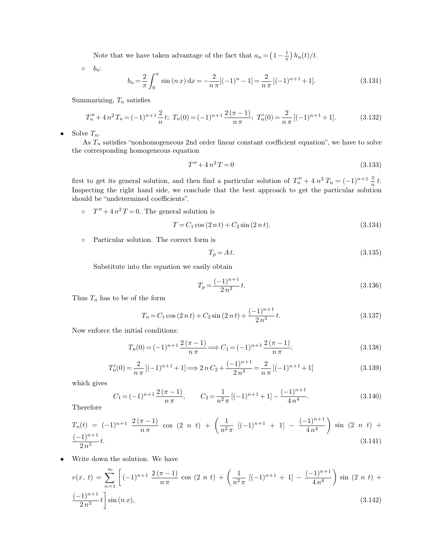Note that we have taken advantage of the fact that  $a_n = \left(1 - \frac{1}{\pi}\right)$  $\frac{1}{\pi}$ )  $h_n(t)/t$ .

◦ bn:

$$
b_n = \frac{2}{\pi} \int_0^{\pi} \sin(n \, x) \, dx = -\frac{2}{n \, \pi} [(-1)^n - 1] = \frac{2}{n \, \pi} \left[ (-1)^{n+1} + 1 \right]. \tag{3.131}
$$

Summarizing,  $T_n$  satisfies

$$
T_n'' + 4n^2 T_n = (-1)^{n+1} \frac{2}{n} t; \ T_n(0) = (-1)^{n+1} \frac{2(\pi - 1)}{n \pi}; \ T_n'(0) = \frac{2}{n \pi} [(-1)^{n+1} + 1]. \tag{3.132}
$$

• Solve  $T_n$ .

As  $T_n$  satisfies "nonhomogeneous 2nd order linear constant coefficient equation", we have to solve the corresponding homogeneous equation

$$
T'' + 4n^2T = 0 \tag{3.133}
$$

first to get its general solution, and then find a particular solution of  $T_n'' + 4 n^2 T_n = (-1)^{n+1} \frac{2}{n} t$ . Inspecting the right hand side, we conclude that the best approach to get the particular solution should be "undetermined coefficients".

 $\circ$   $T'' + 4n^2T = 0$ . The general solution is

$$
T = C_1 \cos(2nt) + C_2 \sin(2nt). \tag{3.134}
$$

◦ Particular solution. The correct form is

$$
T_p = A t. \tag{3.135}
$$

Substitute into the equation we easily obtain

$$
T_p = \frac{(-1)^{n+1}}{2n^3}t.\tag{3.136}
$$

Thus  $T_n$  has to be of the form

$$
T_n = C_1 \cos(2nt) + C_2 \sin(2nt) + \frac{(-1)^{n+1}}{2n^3}t.
$$
\n(3.137)

Now enforce the initial conditions:

$$
T_n(0) = (-1)^{n+1} \frac{2(\pi - 1)}{n \pi} \Longrightarrow C_1 = (-1)^{n+1} \frac{2(\pi - 1)}{n \pi};
$$
\n(3.138)

$$
T_n'(0) = \frac{2}{n\pi} \left[ (-1)^{n+1} + 1 \right] \Longrightarrow 2nC_2 + \frac{(-1)^{n+1}}{2n^3} = \frac{2}{n\pi} \left[ (-1)^{n+1} + 1 \right] \tag{3.139}
$$

which gives

$$
C_1 = (-1)^{n+1} \frac{2(\pi - 1)}{n \pi}, \qquad C_2 = \frac{1}{n^2 \pi} \left[ (-1)^{n+1} + 1 \right] - \frac{(-1)^{n+1}}{4 n^4}.
$$
 (3.140)

Therefore

$$
T_n(t) = (-1)^{n+1} \frac{2(\pi - 1)}{n \pi} \cos (2 n t) + \left(\frac{1}{n^2 \pi} [(-1)^{n+1} + 1] - \frac{(-1)^{n+1}}{4n^4}\right) \sin (2 n t) + \frac{(-1)^{n+1}}{2n^3} t.
$$
\n(3.141)

• Write down the solution. We have

$$
v(x, t) = \sum_{n=1}^{\infty} \left[ (-1)^{n+1} \frac{2(\pi - 1)}{n\pi} \cos(2n t) + \left( \frac{1}{n^2 \pi} \left[ (-1)^{n+1} + 1 \right] - \frac{(-1)^{n+1}}{4n^4} \right) \sin(2n t) + \frac{(-1)^{n+1}}{2n^3} t \right] \sin(n x), \tag{3.142}
$$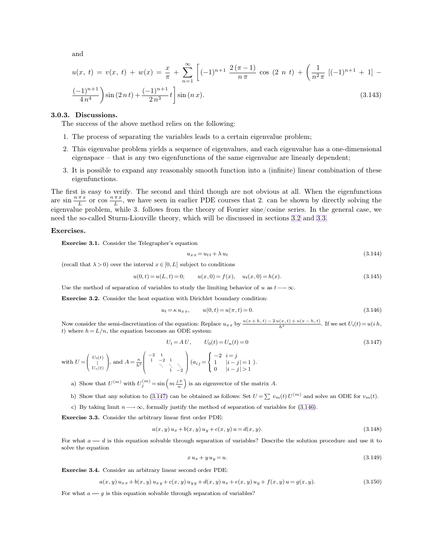<span id="page-10-1"></span><span id="page-10-0"></span>and

$$
u(x, t) = v(x, t) + w(x) = \frac{x}{\pi} + \sum_{n=1}^{\infty} \left[ (-1)^{n+1} \frac{2(\pi - 1)}{n\pi} \cos(2n t) + \left( \frac{1}{n^2 \pi} \left[ (-1)^{n+1} + 1 \right] - \frac{(-1)^{n+1}}{4n^4} \right) \sin(2n t) + \frac{(-1)^{n+1}}{2n^3} t \right]
$$
(3.143)

#### **3.0.3. Discussions.**

The success of the above method relies on the following:

- 1. The process of separating the variables leads to a certain eigenvalue problem;
- 2. This eigenvalue problem yields a sequence of eigenvalues, and each eigenvalue has a one-dimensional eigenspace – that is any two eigenfunctions of the same eigenvalue are linearly dependent;
- 3. It is possible to expand any reasonably smooth function into a (infinite) linear combination of these eigenfunctions.

The first is easy to verify. The second and third though are not obvious at all. When the eigenfunctions are  $\sin \frac{n \pi x}{L}$  or  $\cos \frac{n \pi x}{L}$  $\frac{u}{L}$ , we have seen in earlier PDE courses that 2. can be shown by directly solving the eigenvalue problem, while 3. follows from the theory of Fourier sine/cosine series. In the general case, we need the so-called Sturm-Liouville theory, which will be discussed in sections [3.2](#page-18-0) and [3.3.](#page-25-0)

#### **Exercises.**

 $\sqrt{2}$ 

 $\backslash$ 

**Exercise 3.1.** Consider the Telegrapher's equation

$$
u_{xx} = u_{tt} + \lambda u_t \tag{3.144}
$$

(recall that  $\lambda > 0$ ) over the interval  $x \in [0, L]$  subject to conditions

$$
u(0,t) = u(L,t) = 0; \qquad u(x,0) = f(x), \quad u_t(x,0) = h(x). \tag{3.145}
$$

Use the method of separation of variables to study the limiting behavior of u as  $t \rightarrow \infty$ .

**Exercise 3.2.** Consider the heat equation with Dirichlet boundary condition:

$$
u_t = \kappa u_{xx}, \qquad u(0, t) = u(\pi, t) = 0.
$$
\n(3.146)

Now consider the semi-discretization of the equation: Replace  $u_{xx}$  by  $\frac{u(x+h,t)-2u(x,t)+u(x-h,t)}{h^2}$ . If we set  $U_i(t)=u(ih,$ t) where  $h = L/n$ , the equation becomes an ODE system:

$$
U_t = AU, \t U_0(t) = U_n(t) = 0 \t (3.147)
$$
  

$$
\begin{array}{c} 1 \\ -2 \end{array} \t (3.147)
$$
  

$$
\begin{array}{c} 1 \\ -2 \end{array} \t (3.148)
$$

with  $U =$  $\overline{\mathcal{L}}$  $\frac{U_0(t)}{U_n(t)}$ , and  $A = \frac{\kappa}{h^2}$  $\overline{\phantom{a}}$  $\begin{array}{cccc} -2 & 1 & & & \\ 1 & -2 & 1 & & \\ & & \ddots & \ddots & \ddots \\ & & & 1 & -2 \end{array}$  $\Bigg(a_{i\,j} =$  $\mathcal{L}$ 1  $|i - j| = 1$ 0  $|i-j| > 1$ ).

a) Show that  $U^{(m)}$  with  $U_j^{(m)} = \sin\left(m\frac{j\pi}{n}\right)$  is an eigenvector of the matrix A.

b) Show that any solution to [\(3.147\)](#page-10-0) can be obtained as follows: Set  $U = \sum v_m(t) U^{(m)}$  and solve an ODE for  $v_m(t)$ .

c) By taking limit  $n \rightarrow \infty$ , formally justify the method of separation of variables for [\(3.146\)](#page-10-1).

**Exercise 3.3.** Consider the arbitrary linear first order PDE:

 $\sqrt{2}$ 

$$
a(x, y) u_x + b(x, y) u_y + c(x, y) u = d(x, y).
$$
\n(3.148)

For what  $a - d$  is this equation solvable through separation of variables? Describe the solution procedure and use it to solve the equation

$$
x u_x + y u_y = u. \tag{3.149}
$$

**Exercise 3.4.** Consider an arbitrary linear second order PDE:

$$
a(x, y) u_{xx} + b(x, y) u_{xy} + c(x, y) u_{yy} + d(x, y) u_x + e(x, y) u_y + f(x, y) u = g(x, y).
$$
\n(3.150)

For what  $a \longrightarrow g$  is this equation solvable through separation of variables?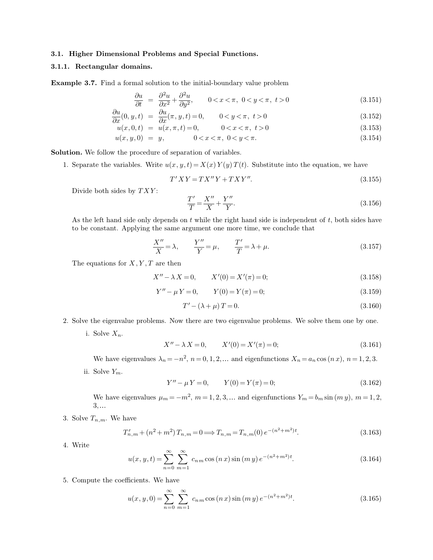### **3.1. Higher Dimensional Problems and Special Functions.**

### **3.1.1. Rectangular domains.**

**Example 3.7.** Find a formal solution to the initial-boundary value problem

$$
\frac{\partial u}{\partial t} = \frac{\partial^2 u}{\partial x^2} + \frac{\partial^2 u}{\partial y^2}, \qquad 0 < x < \pi, \ 0 < y < \pi, \ t > 0 \tag{3.151}
$$

$$
\frac{\partial u}{\partial x}(0, y, t) = \frac{\partial u}{\partial x}(\pi, y, t) = 0, \qquad 0 < y < \pi, \ t > 0
$$
\n(3.152)

$$
u(x,0,t) = u(x,\pi,t) = 0, \qquad 0 < x < \pi, \ t > 0 \tag{3.153}
$$

$$
u(x, y, 0) = y, \qquad 0 < x < \pi, \ 0 < y < \pi. \tag{3.154}
$$

**Solution.** We follow the procedure of separation of variables.

1. Separate the variables. Write  $u(x, y, t) = X(x) Y(y) T(t)$ . Substitute into the equation, we have

$$
T'XY = TX''Y + TXY''.
$$
\n
$$
(3.155)
$$

Divide both sides by  $TXY$ :

$$
\frac{T'}{T} = \frac{X''}{X} + \frac{Y''}{Y}.\tag{3.156}
$$

As the left hand side only depends on  $t$  while the right hand side is independent of  $t$ , both sides have to be constant. Applying the same argument one more time, we conclude that

$$
\frac{X''}{X} = \lambda, \qquad \frac{Y''}{Y} = \mu, \qquad \frac{T'}{T} = \lambda + \mu.
$$
\n(3.157)

The equations for  $X, Y, T$  are then

$$
X'' - \lambda X = 0, \qquad X'(0) = X'(\pi) = 0;
$$
\n(3.158)

$$
Y'' - \mu Y = 0, \qquad Y(0) = Y(\pi) = 0; \tag{3.159}
$$

<span id="page-11-0"></span>
$$
T' - (\lambda + \mu) T = 0. \tag{3.160}
$$

- 2. Solve the eigenvalue problems. Now there are two eigenvalue problems. We solve them one by one.
	- i. Solve  $X_n$ .

$$
X'' - \lambda X = 0, \qquad X'(0) = X'(\pi) = 0;
$$
\n(3.161)

We have eigenvalues  $\lambda_n = -n^2$ ,  $n = 0, 1, 2, ...$  and eigenfunctions  $X_n = a_n \cos(n x)$ ,  $n = 1, 2, 3$ .

ii. Solve  $Y_m$ .

$$
Y'' - \mu Y = 0, \qquad Y(0) = Y(\pi) = 0; \tag{3.162}
$$

We have eigenvalues  $\mu_m = -m^2$ ,  $m = 1, 2, 3, ...$  and eigenfunctions  $Y_m = b_m \sin(m y)$ ,  $m = 1, 2, ...$ 3, 

3. Solve  $T_{n,m}$ . We have

$$
T'_{n,m} + (n^2 + m^2) T_{n,m} = 0 \Longrightarrow T_{n,m} = T_{n,m}(0) e^{-(n^2 + m^2)t}.
$$
\n(3.163)

4. Write

$$
u(x, y, t) = \sum_{n=0}^{\infty} \sum_{m=1}^{\infty} c_{nm} \cos(n x) \sin(m y) e^{-(n^2 + m^2)t}.
$$
 (3.164)

5. Compute the coefficients. We have

$$
u(x, y, 0) = \sum_{n=0}^{\infty} \sum_{m=1}^{\infty} c_{nm} \cos(n x) \sin(m y) e^{-(n^2 + m^2)t}.
$$
 (3.165)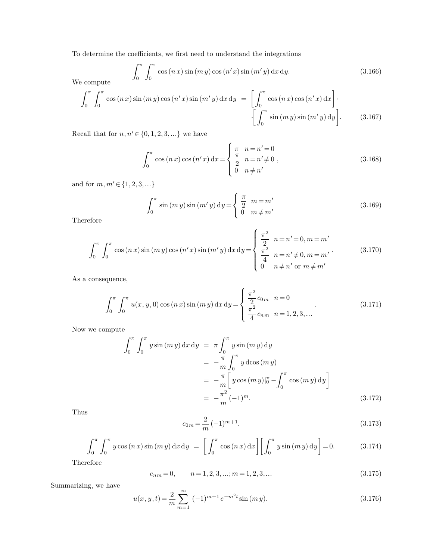To determine the coefficients, we first need to understand the integrations

$$
\int_0^\pi \int_0^\pi \cos(nx) \sin(my) \cos(n'x) \sin(m'y) dx dy.
$$
 (3.166)

We compute

$$
\int_0^\pi \int_0^\pi \cos(nx)\sin(mx)\cos(n'x)\sin(m'y)\,dx\,dy = \left[\int_0^\pi \cos(nx)\cos(n'x)\,dx\right].
$$
\n
$$
\left[\int_0^\pi \sin(mx)\sin(m'y)\,dy\right].
$$
\n(3.167)

Recall that for  $n,n'\!\in\!\{0,1,2,3,\ldots\}$  we have

$$
\int_0^{\pi} \cos(n x) \cos(n' x) dx = \begin{cases} \pi & n = n' = 0 \\ \frac{\pi}{2} & n = n' \neq 0 \\ 0 & n \neq n' \end{cases}
$$
 (3.168)

and for  $m, m' \in \{1, 2, 3, ...\}$ 

$$
\int_0^{\pi} \sin(m y) \sin(m' y) dy = \begin{cases} \frac{\pi}{2} & m = m' \\ 0 & m \neq m' \end{cases}
$$
 (3.169)

Therefore

$$
\int_0^{\pi} \int_0^{\pi} \cos(nx) \sin(my) \cos(n'x) \sin(m'y) dx dy = \begin{cases} \frac{\pi^2}{2} & n = n' = 0, m = m'\\ \frac{\pi^2}{4} & n = n' \neq 0, m = m'\\ 0 & n \neq n' \text{ or } m \neq m' \end{cases}
$$
(3.170)

As a consequence,

$$
\int_0^{\pi} \int_0^{\pi} u(x, y, 0) \cos(n x) \sin(m y) dx dy = \begin{cases} \frac{\pi^2}{2} c_{0m} & n = 0\\ \frac{\pi^2}{4} c_{nm} & n = 1, 2, 3, ... \end{cases}
$$
(3.171)

Now we compute

$$
\int_0^{\pi} \int_0^{\pi} y \sin(my) dx dy = \pi \int_0^{\pi} y \sin(my) dy
$$
  
=  $-\frac{\pi}{m} \int_0^{\pi} y \cos(my)$   
=  $-\frac{\pi}{m} \left[ y \cos(my) |_{0}^{\pi} - \int_0^{\pi} \cos(my) dy \right]$   
=  $-\frac{\pi^2}{m} (-1)^m.$  (3.172)

Thus

$$
c_{0m} = \frac{2}{m}(-1)^{m+1}.
$$
\n(3.173)

$$
\int_0^{\pi} \int_0^{\pi} y \cos(nx) \sin(my) dx dy = \left[ \int_0^{\pi} \cos(nx) dx \right] \left[ \int_0^{\pi} y \sin(my) dy \right] = 0.
$$
 (3.174)

Therefore

$$
c_{n,m} = 0, \qquad n = 1, 2, 3, \dots; m = 1, 2, 3, \dots \tag{3.175}
$$

Summarizing, we have

$$
u(x, y, t) = \frac{2}{m} \sum_{m=1}^{\infty} (-1)^{m+1} e^{-m^2 t} \sin(m y).
$$
 (3.176)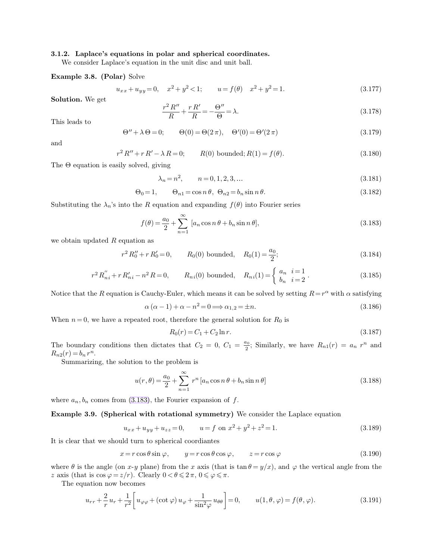### **3.1.2. Laplace's equations in polar and spherical coordinates.**

We consider Laplace's equation in the unit disc and unit ball.

**Example 3.8. (Polar)** Solve

$$
u_{xx} + u_{yy} = 0, \quad x^2 + y^2 < 1; \qquad u = f(\theta) \quad x^2 + y^2 = 1. \tag{3.177}
$$

**Solution.** We get

<span id="page-13-0"></span>
$$
\frac{r^2 R''}{R} + \frac{r R'}{R} = -\frac{\Theta''}{\Theta} = \lambda.
$$
\n(3.178)

This leads to

$$
\Theta'' + \lambda \Theta = 0; \qquad \Theta(0) = \Theta(2\pi), \quad \Theta'(0) = \Theta'(2\pi)
$$
\n(3.179)

and

$$
r^{2} R'' + r R' - \lambda R = 0; \qquad R(0) \text{ bounded}; R(1) = f(\theta). \tag{3.180}
$$

The Θ equation is easily solved, giving

$$
\lambda_n = n^2, \qquad n = 0, 1, 2, 3, \dots \tag{3.181}
$$

$$
\Theta_0 = 1, \qquad \Theta_{n1} = \cos n\,\theta, \ \Theta_{n2} = b_n \sin n\,\theta. \tag{3.182}
$$

Substituting the  $\lambda_n$ 's into the R equation and expanding  $f(\theta)$  into Fourier series

$$
f(\theta) = \frac{a_0}{2} + \sum_{n=1}^{\infty} [a_n \cos n\theta + b_n \sin n\theta],
$$
\n(3.183)

we obtain updated  $R$  equation as

$$
r^2 R_0'' + r R_0' = 0,
$$
  $R_0(0)$  bounded,  $R_0(1) = \frac{a_0}{2};$  (3.184)

$$
r^{2} R_{ni}'' + r R_{ni}' - n^{2} R = 0, \t R_{ni}(0) \text{ bounded}, \t R_{ni}(1) = \begin{cases} a_{n} & i = 1 \\ b_{n} & i = 2 \end{cases}.
$$
 (3.185)

Notice that the R equation is Cauchy-Euler, which means it can be solved by setting  $R=r^{\alpha}$  with  $\alpha$  satisfying

$$
\alpha (\alpha - 1) + \alpha - n^2 = 0 \Longrightarrow \alpha_{1,2} = \pm n. \tag{3.186}
$$

When  $n = 0$ , we have a repeated root, therefore the general solution for  $R_0$  is

$$
R_0(r) = C_1 + C_2 \ln r. \tag{3.187}
$$

The boundary conditions then dictates that  $C_2 = 0, C_1 = \frac{a_0}{2}$  $\frac{a_0}{2}$ ; Similarly, we have  $R_{n1}(r) = a_n r^n$  and  $R_{n2}(r) = b_n r^n$ .

Summarizing, the solution to the problem is

$$
u(r,\theta) = \frac{a_0}{2} + \sum_{n=1}^{\infty} r^n \left[ a_n \cos n\theta + b_n \sin n\theta \right]
$$
\n(3.188)

where  $a_n, b_n$  comes from [\(3.183\)](#page-13-0), the Fourier expansion of f.

**Example 3.9. (Spherical with rotational symmetry)** We consider the Laplace equation

 $u_{xx} + u_{yy} + u_{zz} = 0, \qquad u = f \text{ on } x^2 + y^2 + z$  $(3.189)$ 

It is clear that we should turn to spherical coordiantes

$$
x = r\cos\theta\sin\varphi, \qquad y = r\cos\theta\cos\varphi, \qquad z = r\cos\varphi \tag{3.190}
$$

where  $\theta$  is the angle (on x-y plane) from the x axis (that is tan  $\theta = y/x$ ), and  $\varphi$  the vertical angle from the z axis (that is  $\cos \varphi = z/r$ ). Clearly  $0 < \theta \leq 2\pi$ ,  $0 \leq \varphi \leq \pi$ .

The equation now becomes

$$
u_{rr} + \frac{2}{r}u_r + \frac{1}{r^2} \left[ u_{\varphi\varphi} + (\cot\varphi) u_{\varphi} + \frac{1}{\sin^2\varphi} u_{\theta\theta} \right] = 0, \qquad u(1, \theta, \varphi) = f(\theta, \varphi). \tag{3.191}
$$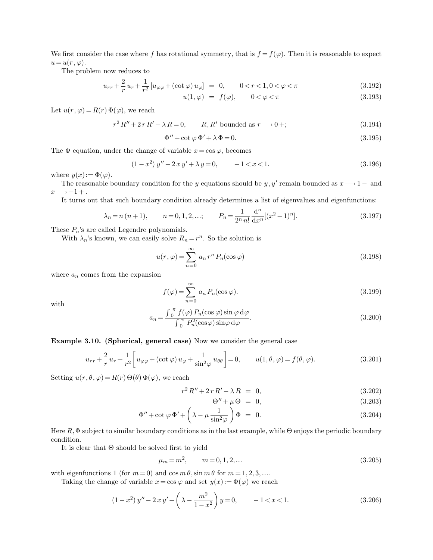We first consider the case where f has rotational symmetry, that is  $f = f(\varphi)$ . Then it is reasonable to expect  $u=u(r,\varphi).$ 

The problem now reduces to

$$
u_{rr} + \frac{2}{r}u_r + \frac{1}{r^2}[u_{\varphi\varphi} + (\cot\varphi)u_{\varphi}] = 0, \qquad 0 < r < 1, 0 < \varphi < \pi
$$
\n(3.192)

$$
u(1,\varphi) = f(\varphi), \qquad 0 < \varphi < \pi \tag{3.193}
$$

Let  $u(r, \varphi) = R(r) \Phi(\varphi)$ , we reach

$$
r^{2} R'' + 2 r R' - \lambda R = 0, \qquad R, R' \text{ bounded as } r \longrightarrow 0 +; \tag{3.194}
$$

$$
\Phi'' + \cot \varphi \, \Phi' + \lambda \, \Phi = 0. \tag{3.195}
$$

The  $\Phi$  equation, under the change of variable  $x = \cos \varphi$ , becomes

$$
(1 - x2) y'' - 2xy' + \lambda y = 0, \qquad -1 < x < 1.
$$
 (3.196)

where  $y(x) := \Phi(\varphi)$ .

The reasonable boundary condition for the y equations should be y, y' remain bounded as  $x \rightarrow 1-$  and  $x \rightarrow -1 +$ .

It turns out that such boundary condition already determines a list of eigenvalues and eigenfunctions:

$$
\lambda_n = n (n+1),
$$
\n $n = 0, 1, 2, \ldots;$ \n $P_n = \frac{1}{2^n n!} \frac{d^n}{dx^n} [(x^2 - 1)^n].$ \n(3.197)

These  $P_n$ 's are called Legendre polynomials.

With  $\lambda_n$ 's known, we can easily solve  $R_n = r^n$ . So the solution is

$$
u(r,\varphi) = \sum_{n=0}^{\infty} a_n r^n P_n(\cos \varphi)
$$
 (3.198)

where  $a_n$  comes from the expansion

$$
f(\varphi) = \sum_{n=0}^{\infty} a_n P_n(\cos \varphi).
$$
 (3.199)

with

$$
a_n = \frac{\int_0^{\pi} f(\varphi) P_n(\cos \varphi) \sin \varphi \, d\varphi}{\int_0^{\pi} P_n^2(\cos \varphi) \sin \varphi \, d\varphi}.
$$
 (3.200)

**Example 3.10. (Spherical, general case)** Now we consider the general case

$$
u_{rr} + \frac{2}{r}u_r + \frac{1}{r^2} \left[ u_{\varphi\varphi} + (\cot \varphi) u_{\varphi} + \frac{1}{\sin^2 \varphi} u_{\theta\theta} \right] = 0, \qquad u(1, \theta, \varphi) = f(\theta, \varphi). \tag{3.201}
$$

Setting  $u(r, \theta, \varphi) = R(r) \Theta(\theta) \Phi(\varphi)$ , we reach

$$
r^2 R'' + 2 r R' - \lambda R = 0, \qquad (3.202)
$$

$$
\Theta'' + \mu \Theta = 0, \tag{3.203}
$$

$$
\Phi'' + \cot \varphi \, \Phi' + \left(\lambda - \mu \frac{1}{\sin^2 \varphi}\right) \Phi = 0. \tag{3.204}
$$

Here  $R, \Phi$  subject to similar boundary conditions as in the last example, while  $\Theta$  enjoys the periodic boundary condition.

It is clear that Θ should be solved first to yield

$$
\mu_m = m^2, \qquad m = 0, 1, 2, \dots \tag{3.205}
$$

with eigenfunctions 1 (for  $m = 0$ ) and  $\cos m \theta$ ,  $\sin m \theta$  for  $m = 1, 2, 3, ...$ 

Taking the change of variable  $x = \cos \varphi$  and set  $y(x) := \Phi(\varphi)$  we reach

$$
(1 - x2) y'' - 2xy' + \left(\lambda - \frac{m2}{1 - x2}\right)y = 0, \qquad -1 < x < 1.
$$
 (3.206)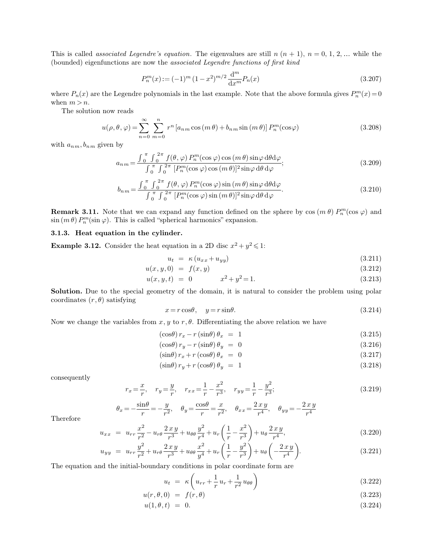This is called *associated Legendre's equation*. The eigenvalues are still  $n (n + 1)$ ,  $n = 0, 1, 2, ...$  while the (bounded) eigenfunctions are now the *associated Legendre functions of first kind*

<span id="page-15-0"></span>
$$
P_n^m(x) := (-1)^m (1 - x^2)^{m/2} \frac{\mathrm{d}^m}{\mathrm{d}x^m} P_n(x) \tag{3.207}
$$

where  $P_n(x)$  are the Legendre polynomials in the last example. Note that the above formula gives  $P_n^m(x) = 0$ when  $m > n$ .

The solution now reads

$$
u(\rho,\theta,\varphi) = \sum_{n=0}^{\infty} \sum_{m=0}^{n} r^n \left[ a_{nm} \cos\left(m\theta\right) + b_{nm} \sin\left(m\theta\right) \right] P_n^m(\cos\varphi)
$$
 (3.208)

with  $a_{nm}$ ,  $b_{nm}$  given by

$$
a_{nm} = \frac{\int_0^{\pi} \int_0^{2\pi} f(\theta, \varphi) P_n^m(\cos \varphi) \cos(m\theta) \sin \varphi \, d\theta d\varphi}{\int_0^{\pi} \int_0^{2\pi} [P_n^m(\cos \varphi) \cos(m\theta)]^2 \sin \varphi \, d\theta \, d\varphi};
$$
\n(3.209)

$$
b_{nm} = \frac{\int_0^{\pi} \int_0^{2\pi} f(\theta, \varphi) P_n^m(\cos \varphi) \sin(m\theta) \sin \varphi \, d\theta d\varphi}{\int_0^{\pi} \int_0^{2\pi} [P_n^m(\cos \varphi) \sin(m\theta)]^2 \sin \varphi \, d\theta \, d\varphi}.
$$
(3.210)

**Remark 3.11.** Note that we can expand any function defined on the sphere by  $\cos(m \theta) P_n^m(\cos \varphi)$  and  $\sin(m \theta) P_n^m(\sin \varphi)$ . This is called "spherical harmonics" expansion.

## **3.1.3. Heat equation in the cylinder.**

**Example 3.12.** Consider the heat equation in a 2D disc  $x^2 + y^2 \le 1$ :

$$
u_t = \kappa (u_{xx} + u_{yy}) \tag{3.211}
$$

$$
u(x, y, 0) = f(x, y)
$$
\n(3.212)

$$
u(x, y, t) = 0 \qquad x^2 + y^2 = 1. \tag{3.213}
$$

Solution. Due to the special geometry of the domain, it is natural to consider the problem using polar coordinates  $(r, \theta)$  satisfying

$$
x = r\cos\theta, \quad y = r\sin\theta. \tag{3.214}
$$

Now we change the variables from  $x, y$  to  $r, \theta$ . Differentiating the above relation we have

$$
(\cos \theta) r_x - r(\sin \theta) \theta_x = 1 \tag{3.215}
$$

$$
\left(\cos\theta\right)r_y - r\left(\sin\theta\right)\theta_y = 0\tag{3.216}
$$

$$
\left(\sin\theta\right)r_x + r\left(\cos\theta\right)\theta_x = 0\tag{3.217}
$$

$$
(\sin \theta) r_y + r (\cos \theta) \theta_y = 1 \tag{3.218}
$$

consequently

$$
r_x = \frac{x}{r}, \quad r_y = \frac{y}{r}, \quad r_{xx} = \frac{1}{r} - \frac{x^2}{r^3}, \quad r_{yy} = \frac{1}{r} - \frac{y^2}{r^3};
$$
\n(3.219)

$$
\theta_x = -\frac{\sin \theta}{r} = -\frac{y}{r^2}, \quad \theta_y = \frac{\cos \theta}{r} = \frac{x}{r^2}, \quad \theta_{xx} = \frac{2 x y}{r^4}, \quad \theta_{yy} = -\frac{2 x y}{r^4}
$$

Therefore

$$
u_{xx} = u_{rr} \frac{x^2}{r^2} - u_{r\theta} \frac{2xy}{r^3} + u_{\theta\theta} \frac{y^2}{r^4} + u_r \left(\frac{1}{r} - \frac{x^2}{r^3}\right) + u_{\theta} \frac{2xy}{r^4},
$$
\n(3.220)

$$
u_{yy} = u_{rr} \frac{y^2}{r^2} + u_{r\theta} \frac{2xy}{r^3} + u_{\theta\theta} \frac{x^2}{y^4} + u_r \left(\frac{1}{r} - \frac{y^2}{r^3}\right) + u_{\theta} \left(-\frac{2xy}{r^4}\right).
$$
 (3.221)

The equation and the initial-boundary conditions in polar coordinate form are

$$
u_t = \kappa \left( u_{rr} + \frac{1}{r} u_r + \frac{1}{r^2} u_{\theta\theta} \right) \tag{3.222}
$$

$$
u(r, \theta, 0) = f(r, \theta) \tag{3.223}
$$

$$
u(1, \theta, t) = 0. \t\t(3.224)
$$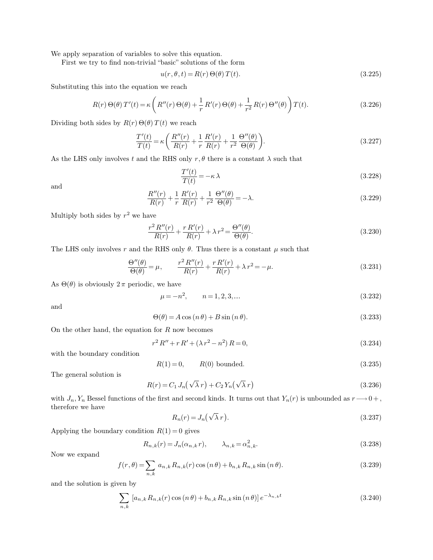We apply separation of variables to solve this equation.

First we try to find non-trivial "basic" solutions of the form

$$
u(r, \theta, t) = R(r) \Theta(\theta) T(t). \tag{3.225}
$$

Substituting this into the equation we reach

$$
R(r)\Theta(\theta) T'(t) = \kappa \left( R''(r)\Theta(\theta) + \frac{1}{r} R'(r)\Theta(\theta) + \frac{1}{r^2} R(r)\Theta''(\theta) \right) T(t).
$$
\n(3.226)

Dividing both sides by  $R(r) \Theta(\theta) T(t)$  we reach

$$
\frac{T'(t)}{T(t)} = \kappa \left( \frac{R''(r)}{R(r)} + \frac{1}{r} \frac{R'(r)}{R(r)} + \frac{1}{r^2} \frac{\Theta''(\theta)}{\Theta(\theta)} \right).
$$
\n(3.227)

As the LHS only involves t and the RHS only  $r, \theta$  there is a constant  $\lambda$  such that

$$
\frac{T'(t)}{T(t)} = -\kappa \lambda \tag{3.228}
$$

and

$$
\frac{R''(r)}{R(r)} + \frac{1}{r}\frac{R'(r)}{R(r)} + \frac{1}{r^2}\frac{\Theta''(\theta)}{\Theta(\theta)} = -\lambda.
$$
\n(3.229)

Multiply both sides by  $r^2$  we have

$$
\frac{r^2 R''(r)}{R(r)} + \frac{r R'(r)}{R(r)} + \lambda r^2 = \frac{\Theta''(\theta)}{\Theta(\theta)}.
$$
\n(3.230)

The LHS only involves r and the RHS only  $\theta$ . Thus there is a constant  $\mu$  such that

$$
\frac{\Theta''(\theta)}{\Theta(\theta)} = \mu, \qquad \frac{r^2 R''(r)}{R(r)} + \frac{r R'(r)}{R(r)} + \lambda r^2 = -\mu.
$$
\n(3.231)

As  $\Theta(\theta)$  is obviously  $2\pi$  periodic, we have

$$
\mu = -n^2, \qquad n = 1, 2, 3, \dots \tag{3.232}
$$

and

$$
\Theta(\theta) = A\cos(n\theta) + B\sin(n\theta). \tag{3.233}
$$

On the other hand, the equation for  $R$  now becomes

$$
r^{2} R'' + r R' + (\lambda r^{2} - n^{2}) R = 0,
$$
\n(3.234)

with the boundary condition

$$
R(1) = 0, \t R(0) bounded.
$$
 (3.235)

The general solution is

$$
R(r) = C_1 J_n(\sqrt{\lambda} r) + C_2 Y_n(\sqrt{\lambda} r)
$$
\n(3.236)

with  $J_n, Y_n$  Bessel functions of the first and second kinds. It turns out that  $Y_n(r)$  is unbounded as  $r \longrightarrow 0 +$ , therefore we have

$$
R_n(r) = J_n(\sqrt{\lambda} r). \tag{3.237}
$$

Applying the boundary condition  $R(1) = 0$  gives

$$
R_{n,k}(r) = J_n(\alpha_{n,k}r), \qquad \lambda_{n,k} = \alpha_{n,k}^2.
$$
\n(3.238)

Now we expand

$$
f(r,\theta) = \sum_{n,k} a_{n,k} R_{n,k}(r) \cos(n\theta) + b_{n,k} R_{n,k} \sin(n\theta).
$$
 (3.239)

and the solution is given by

$$
\sum_{n,k} [a_{n,k} R_{n,k}(r) \cos(n\theta) + b_{n,k} R_{n,k} \sin(n\theta)] e^{-\lambda_{n,k}t}
$$
\n(3.240)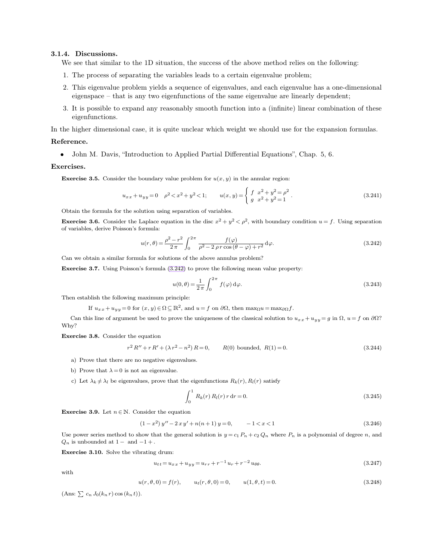### **3.1.4. Discussions.**

<span id="page-17-0"></span>We see that similar to the 1D situation, the success of the above method relies on the following:

- 1. The process of separating the variables leads to a certain eigenvalue problem;
- 2. This eigenvalue problem yields a sequence of eigenvalues, and each eigenvalue has a one-dimensional eigenspace – that is any two eigenfunctions of the same eigenvalue are linearly dependent;
- 3. It is possible to expand any reasonably smooth function into a (infinite) linear combination of these eigenfunctions.

In the higher dimensional case, it is quite unclear which weight we should use for the expansion formulas.

### **Reference.**

• John M. Davis, "Introduction to Applied Partial Differential Equations", Chap. 5, 6.

### **Exercises.**

**Exercise 3.5.** Consider the boundary value problem for  $u(x, y)$  in the annular region:

$$
u_{xx} + u_{yy} = 0 \quad \rho^2 < x^2 + y^2 < 1; \qquad u(x, y) = \begin{cases} f & x^2 + y^2 = \rho^2 \\ g & x^2 + y^2 = 1 \end{cases} . \tag{3.241}
$$

Obtain the formula for the solution using separation of variables.

**Exercise 3.6.** Consider the Laplace equation in the disc  $x^2 + y^2 < \rho^2$ , with boundary condition  $u = f$ . Using separation of variables, derive Poisson's formula:

$$
u(r,\theta) = \frac{\rho^2 - r^2}{2\pi} \int_0^{2\pi} \frac{f(\varphi)}{\rho^2 - 2\,\rho\,r\cos\left(\theta - \varphi\right) + r^2} \,\mathrm{d}\varphi. \tag{3.242}
$$

Can we obtain a similar formula for solutions of the above annulus problem?

**Exercise 3.7.** Using Poisson's formula [\(3.242\)](#page-17-0) to prove the following mean value property:

$$
u(0,\theta) = \frac{1}{2\pi} \int_0^{2\pi} f(\varphi) d\varphi.
$$
 (3.243)

Then establish the following maximum principle:

If  $u_{xx} + u_{yy} = 0$  for  $(x, y) \in \Omega \subseteq \mathbb{R}^2$ , and  $u = f$  on  $\partial\Omega$ , then  $\max_{\Omega} u = \max_{\partial\Omega} f$ .

Can this line of argument be used to prove the uniqueness of the classical solution to  $u_{xx} + u_{yy} = g$  in  $\Omega$ ,  $u = f$  on  $\partial\Omega$ ? Why?

**Exercise 3.8.** Consider the equation

$$
r^{2} R'' + r R' + (\lambda r^{2} - n^{2}) R = 0, \qquad R(0) \text{ bounded}, R(1) = 0.
$$
 (3.244)

- a) Prove that there are no negative eigenvalues.
- b) Prove that  $\lambda = 0$  is not an eigenvalue.
- c) Let  $\lambda_k \neq \lambda_l$  be eigenvalues, prove that the eigenfunctions  $R_k(r)$ ,  $R_l(r)$  satisfy

$$
\int_0^1 R_k(r) R_l(r) r dr = 0.
$$
\n(3.245)

**Exercise 3.9.** Let  $n \in \mathbb{N}$ . Consider the equation

$$
(1 - x2) y'' - 2xy' + n(n+1) y = 0, -1 < x < 1
$$
\n(3.246)

Use power series method to show that the general solution is  $y = c_1 P_n + c_2 Q_n$  where  $P_n$  is a polynomial of degree n, and  $Q_n$  is unbounded at  $1-$  and  $-1+$ .

**Exercise 3.10.** Solve the vibrating drum:

$$
u_{tt} = u_{xx} + u_{yy} = u_{rr} + r^{-1}u_r + r^{-2}u_{\theta\theta}.
$$
\n(3.247)

with

$$
u(r, \theta, 0) = f(r), \qquad u_t(r, \theta, 0) = 0, \qquad u(1, \theta, t) = 0.
$$
\n(3.248)

(Ans:  $\sum c_n J_0(k_n r) \cos (k_n t)$ ).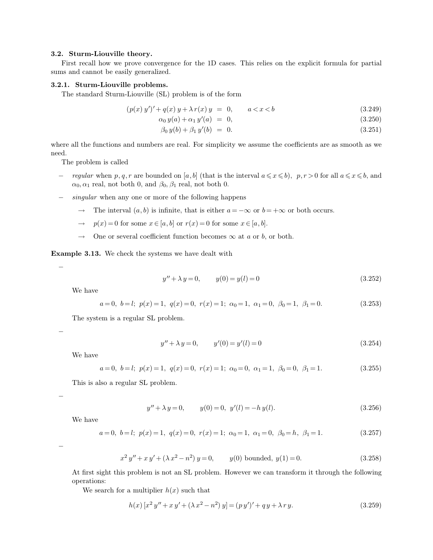### **3.2. Sturm-Liouville theory.**

First recall how we prove convergence for the 1D cases. This relies on the explicit formula for partial sums and cannot be easily generalized.

### **3.2.1. Sturm-Liouville problems.**

The standard Sturm-Liouville (SL) problem is of the form

$$
(p(x) y')' + q(x) y + \lambda r(x) y = 0, \qquad a < x < b \tag{3.249}
$$

$$
\alpha_0 y(a) + \alpha_1 y'(a) = 0, \tag{3.250}
$$

$$
\beta_0 y(b) + \beta_1 y'(b) = 0. \tag{3.251}
$$

where all the functions and numbers are real. For simplicity we assume the coefficients are as smooth as we need.

The problem is called

- − *regular* when p, q, r are bounded on [a, b] (that is the interval  $a \le x \le b$ ), p,  $r > 0$  for all  $a \le x \le b$ , and  $\alpha_0, \alpha_1$  real, not both 0, and  $\beta_0, \beta_1$  real, not both 0.
- − *singular* when any one or more of the following happens
	- $\rightarrow$  The interval  $(a, b)$  is infinite, that is either  $a = -\infty$  or  $b = +\infty$  or both occurs.
	- $\rightarrow$  p(x) = 0 for some  $x \in [a, b]$  or  $r(x) = 0$  for some  $x \in [a, b]$ .
	- $\rightarrow$  One or several coefficient function becomes  $\infty$  at a or b, or both.

**Example 3.13.** We check the systems we have dealt with

$$
y'' + \lambda y = 0, \qquad y(0) = y(l) = 0 \tag{3.252}
$$

We have

−

−

−

−

$$
a = 0, b = l; p(x) = 1, q(x) = 0, r(x) = 1; \alpha_0 = 1, \alpha_1 = 0, \beta_0 = 1, \beta_1 = 0.
$$
\n
$$
(3.253)
$$

The system is a regular SL problem.

$$
y'' + \lambda y = 0, \qquad y'(0) = y'(l) = 0 \tag{3.254}
$$

We have

$$
a=0, b=l; p(x)=1, q(x)=0, r(x)=1; \alpha_0=0, \alpha_1=1, \beta_0=0, \beta_1=1.
$$
 (3.255)

This is also a regular SL problem.

<span id="page-18-0"></span>
$$
y'' + \lambda y = 0, \qquad y(0) = 0, \ y'(l) = -h \ y(l). \tag{3.256}
$$

We have

$$
a=0, b=l; p(x)=1, q(x)=0, r(x)=1; \alpha_0=1, \alpha_1=0, \beta_0=h, \beta_1=1.
$$
 (3.257)

$$
x^{2} y'' + x y' + (\lambda x^{2} - n^{2}) y = 0, \t y(0) bounded, y(1) = 0.
$$
\t(3.258)

At first sight this problem is not an SL problem. However we can transform it through the following operations:

We search for a multiplier  $h(x)$  such that

$$
h(x) [x2 y'' + xy' + (\lambda x2 - n2) y] = (py')' + qy + \lambda r y.
$$
 (3.259)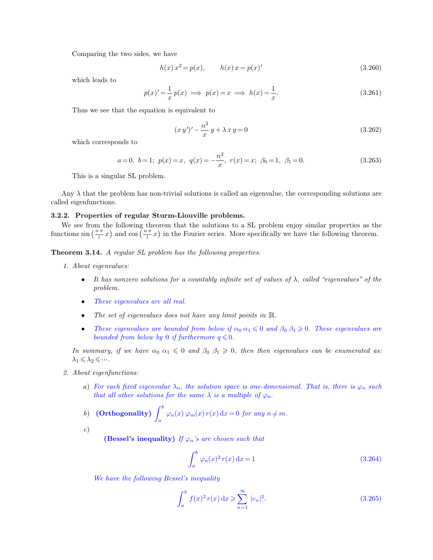Comparing the two sides, we have

<span id="page-19-0"></span>
$$
h(x) x2 = p(x), \t h(x) x = p(x)'
$$
\t(3.260)

which leads to

$$
p(x)' = \frac{1}{x} p(x) \implies p(x) = x \implies h(x) = \frac{1}{x}.\tag{3.261}
$$

Thus we see that the equation is equivalent to

$$
(x y')' - \frac{n^2}{x} y + \lambda x y = 0
$$
\n(3.262)

which corresponds to

$$
a=0, b=1; p(x)=x, q(x)=-\frac{n^2}{x}, r(x)=x; \beta_0=1, \beta_1=0.
$$
 (3.263)

This is a singular SL problem.

Any  $\lambda$  that the problem has non-trivial solutions is called an eigenvalue, the corresponding solutions are called eigenfunctions.

### **3.2.2. Properties of regular Sturm-Liouville problems.**

We see from the following theorem that the solutions to a SL problem enjoy similar properties as the functions  $\sin\left(\frac{n\pi}{l}x\right)$  and  $\cos\left(\frac{n\pi}{l}x\right)$  in the Fourier series. More specifically we have the following theorem.

**Theorem 3.14.** *A regular SL problem has the following properties.*

- *1. About eigenvalues:*
	- *It has nonzero solutions for a countably infinite set of values of* λ*, called "eigenvalues" of the problem.*
	- *These eigenvalues are all real.*
	- *The set of eigenvalues does not have any limit points in* <sup>R</sup>*.*
	- *These eigenvalues are bounded from below if*  $\alpha_0 \alpha_1 \leq 0$  *and*  $\beta_0 \beta_1 \geq 0$ *. These eigenvalues are bounded from below by* 0 *if furthermore*  $q \leq 0$ *.*

*In summary, if we have*  $\alpha_0 \alpha_1 \leq 0$  *and*  $\beta_0 \beta_1 \geq 0$ *, then then eigenvalues can be enumerated as:*  $\lambda_1 \leqslant \lambda_2 \leqslant \cdots$ .

- *2. About eigenfunctions:*
	- *a*) *For each fixed eigenvalue*  $\lambda_n$ *, the solution space is one-dimensional. That is, there is*  $\varphi_n$  *such that all other solutions for the same*  $\lambda$  *is a multiple of*  $\varphi_n$ *.*

**b)** (Orthogonality) 
$$
\int_a^b \varphi_n(x) \varphi_m(x) r(x) dx = 0
$$
 for any  $n \neq m$ .

*c*)

**(Bessel's inequality)** *If*  $\varphi_n$ *'s are chosen such that* 

$$
\int_{a}^{b} \varphi_n(x)^2 r(x) dx = 1
$$
\n(3.264)

*We have the following Bessel's inequality*

$$
\int_{a}^{b} f(x)^{2} r(x) dx \geqslant \sum_{n=1}^{\infty} |c_{n}|^{2}.
$$
 (3.265)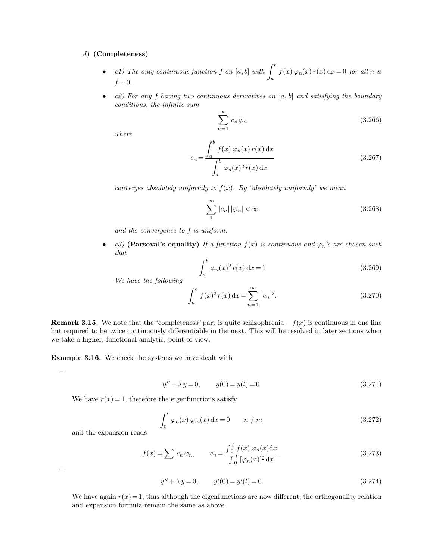### *d*) **(Completeness)**

- *c1)* The only continuous function f on  $[a, b]$  with  $\int_a^b$ b  $f(x) \varphi_n(x) r(x) dx = 0$  *for all n is*  $f \equiv 0$ .
- *c2) For any* f *having two continuous derivatives on* [a, b] *and satisfying the boundary conditions, the infinite sum*

$$
\sum_{n=1}^{\infty} c_n \varphi_n \tag{3.266}
$$

*where*

$$
c_n = \frac{\int_a^b f(x) \varphi_n(x) r(x) dx}{\int_a^b \varphi_n(x)^2 r(x) dx}
$$
\n(3.267)

*converges absolutely uniformly to* f(x)*. By "absolutely uniformly" we mean*

$$
\sum_{1}^{\infty} |c_n| |\varphi_n| < \infty \tag{3.268}
$$

*and the convergence to* f *is uniform.*

• *c3*) **(Parseval's equality)** If a function  $f(x)$  is continuous and  $\varphi_n$ 's are chosen such *that*

$$
\int_{a}^{b} \varphi_n(x)^2 r(x) dx = 1
$$
\n(3.269)

*We have the following*

$$
\int_{a}^{b} f(x)^{2} r(x) dx = \sum_{n=1}^{\infty} |c_{n}|^{2}.
$$
 (3.270)

**Remark 3.15.** We note that the "completeness" part is quite schizophrenia –  $f(x)$  is continuous in one line but required to be twice continuously differentiable in the next. This will be resolved in later sections when we take a higher, functional analytic, point of view.

**Example 3.16.** We check the systems we have dealt with

$$
y'' + \lambda y = 0, \qquad y(0) = y(l) = 0 \tag{3.271}
$$

We have  $r(x) = 1$ , therefore the eigenfunctions satisfy

$$
\int_0^l \varphi_n(x) \varphi_m(x) dx = 0 \qquad n \neq m \tag{3.272}
$$

and the expansion reads

$$
f(x) = \sum c_n \varphi_n, \qquad c_n = \frac{\int_0^l f(x) \varphi_n(x) dx}{\int_0^l [\varphi_n(x)]^2 dx}.
$$
 (3.273)

−

−

$$
y'' + \lambda y = 0, \qquad y'(0) = y'(l) = 0 \tag{3.274}
$$

We have again  $r(x) = 1$ , thus although the eigenfunctions are now different, the orthogonality relation and expansion formula remain the same as above.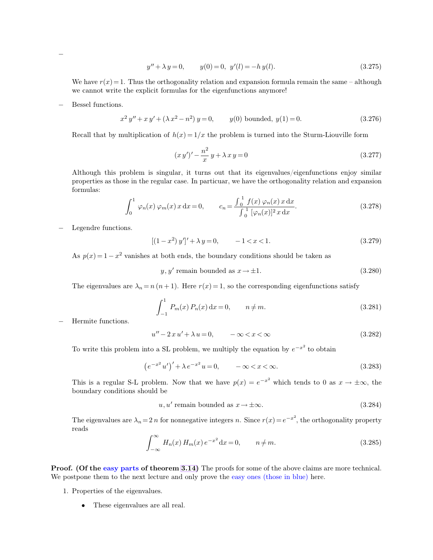$$
y'' + \lambda y = 0, \qquad y(0) = 0, \ y'(l) = -h \ y(l). \tag{3.275}
$$

We have  $r(x) = 1$ . Thus the orthogonality relation and expansion formula remain the same – although we cannot write the explicit formulas for the eigenfunctions anymore!

− Bessel functions.

−

$$
x^{2} y'' + x y' + (\lambda x^{2} - n^{2}) y = 0, \t y(0) bounded, y(1) = 0.
$$
\t(3.276)

Recall that by multiplication of  $h(x) = 1/x$  the problem is turned into the Sturm-Liouville form

$$
(x y')' - \frac{n^2}{x} y + \lambda x y = 0
$$
\n(3.277)

Although this problem is singular, it turns out that its eigenvalues/eigenfunctions enjoy similar properties as those in the regular case. In particuar, we have the orthogonality relation and expansion formulas:

$$
\int_0^1 \varphi_n(x) \, \varphi_m(x) \, x \, dx = 0, \qquad c_n = \frac{\int_0^1 f(x) \, \varphi_n(x) \, x \, dx}{\int_0^1 [\varphi_n(x)]^2 \, x \, dx}.
$$
\n(3.278)

Legendre functions.

$$
[(1-x^2)y']' + \lambda y = 0, -1 < x < 1.
$$
 (3.279)

As  $p(x) = 1 - x^2$  vanishes at both ends, the boundary conditions should be taken as

$$
y, y' \text{ remain bounded as } x \to \pm 1. \tag{3.280}
$$

The eigenvalues are  $\lambda_n = n (n + 1)$ . Here  $r(x) = 1$ , so the corresponding eigenfunctions satisfy

$$
\int_{-1}^{1} P_m(x) P_n(x) dx = 0, \qquad n \neq m.
$$
 (3.281)

− Hermite functions.

$$
u'' - 2x u' + \lambda u = 0, \qquad -\infty < x < \infty \tag{3.282}
$$

To write this problem into a SL problem, we multiply the equation by  $e^{-x^2}$  to obtain

$$
(e^{-x^2}u')' + \lambda e^{-x^2}u = 0, \qquad -\infty < x < \infty.
$$
 (3.283)

This is a regular S-L problem. Now that we have  $p(x) = e^{-x^2}$  which tends to 0 as  $x \to \pm \infty$ , the boundary conditions should be

$$
u, u' \text{ remain bounded as } x \to \pm \infty. \tag{3.284}
$$

The eigenvalues are  $\lambda_n = 2n$  for nonnegative integers n. Since  $r(x) = e^{-x^2}$ , the orthogonality property reads

$$
\int_{-\infty}^{\infty} H_n(x) H_m(x) e^{-x^2} dx = 0, \qquad n \neq m.
$$
 (3.285)

**Proof. (Of the easy parts of theorem [3.14\)](#page-19-0)** The proofs for some of the above claims are more technical. We postpone them to the next lecture and only prove the easy ones (those in blue) here.

- 1. Properties of the eigenvalues.
	- These eigenvalues are all real.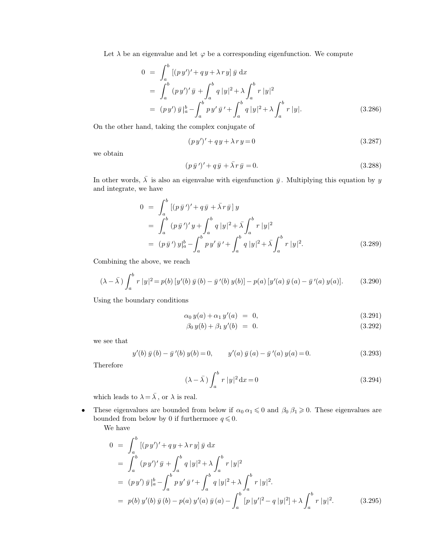Let  $\lambda$  be an eigenvalue and let  $\varphi$  be a corresponding eigenfunction. We compute

$$
0 = \int_{a}^{b} [(py')' + qy + \lambda ry] \bar{y} dx
$$
  
\n
$$
= \int_{a}^{b} (py')' \bar{y} + \int_{a}^{b} q |y|^{2} + \lambda \int_{a}^{b} r |y|^{2}
$$
  
\n
$$
= (py') \bar{y}|_{a}^{b} - \int_{a}^{b} py' \bar{y}' + \int_{a}^{b} q |y|^{2} + \lambda \int_{a}^{b} r |y|.
$$
 (3.286)

On the other hand, taking the complex conjugate of

$$
(py')' + qy + \lambda ry = 0 \tag{3.287}
$$

we obtain

$$
(p\,\bar{y}\,')' + q\,\bar{y} + \bar{\lambda}\,r\,\bar{y} = 0.\tag{3.288}
$$

In other words,  $\bar{\lambda}$  is also an eigenvalue with eigenfunction  $\bar{y}$ . Multiplying this equation by y and integrate, we have

$$
0 = \int_{a}^{b} [(p \bar{y}')' + q \bar{y} + \bar{\lambda} r \bar{y}] y
$$
  
\n
$$
= \int_{a}^{b} (p \bar{y}')' y + \int_{a}^{b} q |y|^{2} + \bar{\lambda} \int_{a}^{b} r |y|^{2}
$$
  
\n
$$
= (p \bar{y}') y|_{a}^{b} - \int_{a}^{b} p y' \bar{y}' + \int_{a}^{b} q |y|^{2} + \bar{\lambda} \int_{a}^{b} r |y|^{2}.
$$
 (3.289)

Combining the above, we reach

$$
(\lambda - \bar{\lambda}) \int_a^b r |y|^2 = p(b) \left[ y'(b) \bar{y}(b) - \bar{y}'(b) y(b) \right] - p(a) \left[ y'(a) \bar{y}(a) - \bar{y}'(a) y(a) \right]. \tag{3.290}
$$

Using the boundary conditions

$$
\alpha_0 y(a) + \alpha_1 y'(a) = 0, \qquad (3.291)
$$

$$
\beta_0 y(b) + \beta_1 y'(b) = 0. \tag{3.292}
$$

we see that

$$
y'(b) \bar{y}(b) - \bar{y}'(b) y(b) = 0, \qquad y'(a) \bar{y}(a) - \bar{y}'(a) y(a) = 0.
$$
 (3.293)

Therefore

$$
(\lambda - \overline{\lambda}) \int_{a}^{b} r |y|^2 dx = 0
$$
\n(3.294)

which leads to  $\lambda = \overline{\lambda}$ , or  $\lambda$  is real.

• These eigenvalues are bounded from below if  $\alpha_0 \alpha_1 \leq 0$  and  $\beta_0 \beta_1 \geq 0$ . These eigenvalues are bounded from below by 0 if furthermore  $q \leq 0$ .

We have

$$
0 = \int_{a}^{b} [(py')' + qy + \lambda ry] \bar{y} dx
$$
  
\n
$$
= \int_{a}^{b} (py')' \bar{y} + \int_{a}^{b} q |y|^{2} + \lambda \int_{a}^{b} r |y|^{2}
$$
  
\n
$$
= (py') \bar{y}|_{a}^{b} - \int_{a}^{b} py' \bar{y}' + \int_{a}^{b} q |y|^{2} + \lambda \int_{a}^{b} r |y|^{2}.
$$
  
\n
$$
= p(b) y'(b) \bar{y}(b) - p(a) y'(a) \bar{y}(a) - \int_{a}^{b} [p |y'|^{2} - q |y|^{2}] + \lambda \int_{a}^{b} r |y|^{2}.
$$
 (3.295)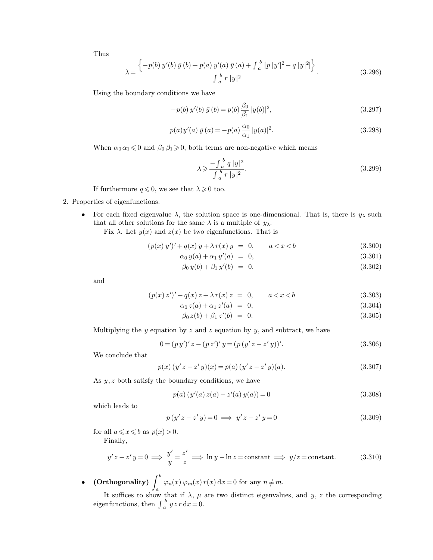Thus

$$
\lambda = \frac{\left\{-p(b)\,y'(b)\,\bar{y}\,(b) + p(a)\,y'(a)\,\bar{y}\,(a) + \int_a^b [p\,|y'|^2 - q\,|y|^2] \right\}}{\int_a^b r\,|y|^2}.\tag{3.296}
$$

Using the boundary conditions we have

$$
-p(b) y'(b) \bar{y}(b) = p(b) \frac{\beta_0}{\beta_1} |y(b)|^2,
$$
\n(3.297)

$$
p(a)y'(a) \bar{y}(a) = -p(a)\frac{\alpha_0}{\alpha_1}|y(a)|^2.
$$
 (3.298)

When  $\alpha_0 \alpha_1 \leq 0$  and  $\beta_0 \beta_1 \geq 0$ , both terms are non-negative which means

$$
\lambda \geq \frac{-\int_{a}^{b} q |y|^{2}}{\int_{a}^{b} r |y|^{2}}.
$$
\n(3.299)

If furthermore  $q \leq 0$ , we see that  $\lambda \geq 0$  too.

## 2. Properties of eigenfunctions.

• For each fixed eigenvalue  $\lambda$ , the solution space is one-dimensional. That is, there is  $y_{\lambda}$  such that all other solutions for the same  $\lambda$  is a multiple of  $y_{\lambda}$ .

Fix  $\lambda$ . Let  $y(x)$  and  $z(x)$  be two eigenfunctions. That is

$$
(p(x) y')' + q(x) y + \lambda r(x) y = 0, \qquad a < x < b \tag{3.300}
$$

$$
\alpha_0 y(a) + \alpha_1 y'(a) = 0, \tag{3.301}
$$

$$
\beta_0 y(b) + \beta_1 y'(b) = 0. \tag{3.302}
$$

and

$$
(p(x) z')' + q(x) z + \lambda r(x) z = 0, \qquad a < x < b \tag{3.303}
$$

$$
\alpha_0 z(a) + \alpha_1 z'(a) = 0, \tag{3.304}
$$

$$
\beta_0 z(b) + \beta_1 z'(b) = 0. \tag{3.305}
$$

Multiplying the y equation by z and z equation by y, and subtract, we have

$$
0 = (py')' z - (pz')' y = (p (y'z - z'y))'.
$$
\n(3.306)

We conclude that

$$
p(x) (y'z - z'y)(x) = p(a) (y'z - z'y)(a).
$$
 (3.307)

As  $y, z$  both satisfy the boundary conditions, we have

$$
p(a) (y'(a) z(a) - z'(a) y(a)) = 0
$$
\n(3.308)

which leads to

$$
p(y'z - z'y) = 0 \implies y'z - z'y = 0 \tag{3.309}
$$

for all  $a \leq x \leq b$  as  $p(x) > 0$ .

Finally,

$$
y'z - z'y = 0 \implies \frac{y'}{y} = \frac{z'}{z} \implies \ln y - \ln z = \text{constant} \implies y/z = \text{constant.}
$$
 (3.310)

 $\bullet \quad \text{(Orthogonality)}\,\,\int_a$ b  $\varphi_n(x) \varphi_m(x) r(x) dx = 0$  for any  $n \neq m$ .

It suffices to show that if  $\lambda$ ,  $\mu$  are two distinct eigenvalues, and y, z the corresponding eigenfunctions, then  $\int_{a}^{b}$  $\int_a^b y z r \, dx = 0.$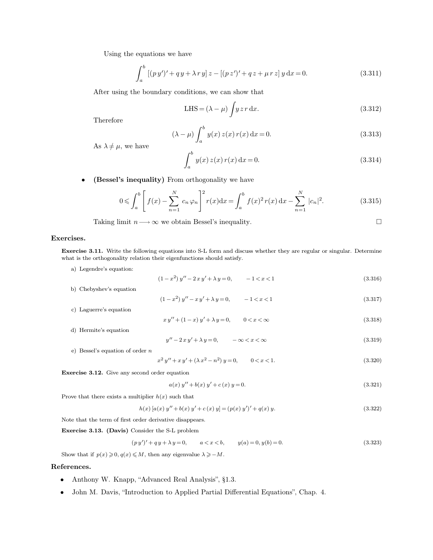Using the equations we have

$$
\int_{a}^{b} [(py')' + qy + \lambda ry] z - [(pz')' + qz + \mu rz] y \, dx = 0.
$$
 (3.311)

After using the boundary conditions, we can show that

$$
LHS = (\lambda - \mu) \int y \, z \, r \, dx. \tag{3.312}
$$

Therefore

$$
(\lambda - \mu) \int_{a}^{b} y(x) z(x) r(x) dx = 0.
$$
 (3.313)

As  $\lambda \neq \mu$ , we have

$$
\int_{a}^{b} y(x) z(x) r(x) dx = 0.
$$
\n(3.314)

• **(Bessel's inequality)** From orthogonality we have

$$
0 \leqslant \int_{a}^{b} \left[ f(x) - \sum_{n=1}^{N} c_n \varphi_n \right]^2 r(x) dx = \int_{a}^{b} f(x)^2 r(x) dx - \sum_{n=1}^{N} |c_n|^2.
$$
 (3.315)

Taking limit  $n \longrightarrow \infty$  we obtain Bessel's inequality.

### **Exercises.**

**Exercise 3.11.** Write the following equations into S-L form and discuss whether they are regular or singular. Determine what is the orthogonality relation their eigenfunctions should satisfy.

a) Legendre's equation:

$$
(1 - x2) y'' - 2xy' + \lambda y = 0, \qquad -1 < x < 1
$$
\n(3.316)

- b) Chebyshev's equation  $(1-x^2)y'' - xy' + \lambda y = 0,$   $-1 < x < 1$  (3.317)
- c) Laguerre's equation

$$
xy'' + (1 - x)y' + \lambda y = 0, \qquad 0 < x < \infty
$$
\n(3.318)

d) Hermite's equation

$$
y'' - 2xy' + \lambda y = 0, \qquad -\infty < x < \infty \tag{3.319}
$$

e) Bessel's equation of order n

$$
x^{2} y'' + x y' + (\lambda x^{2} - n^{2}) y = 0, \qquad 0 < x < 1.
$$
 (3.320)

**Exercise 3.12.** Give any second order equation

$$
a(x) y'' + b(x) y' + c(x) y = 0.
$$
\n(3.321)

Prove that there exists a multiplier  $h(x)$  such that

$$
h(x) [a(x) y'' + b(x) y' + c(x) y] = (p(x) y')' + q(x) y.
$$
\n(3.322)

Note that the term of first order derivative disappears.

**Exercise 3.13. (Davis)** Consider the S-L problem

$$
(py')' + qy + \lambda y = 0, \qquad a < x < b, \qquad y(a) = 0, \quad y(b) = 0. \tag{3.323}
$$

Show that if  $p(x) \geq 0, q(x) \leq M$ , then any eigenvalue  $\lambda \geq -M$ .

## **References.**

- Anthony W. Knapp, "Advanced Real Analysis", §1.3.
- John M. Davis, "Introduction to Applied Partial Differential Equations", Chap. 4.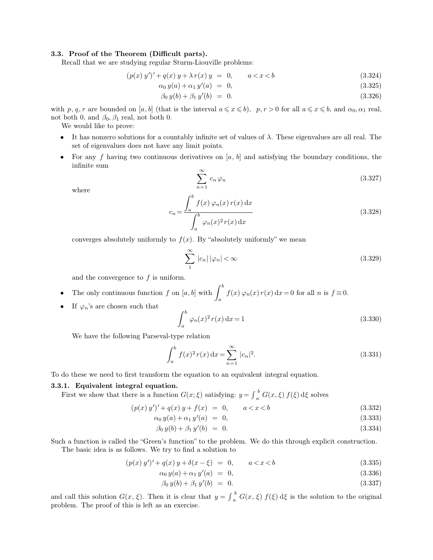### **3.3. Proof of the Theorem (Difficult parts).**

Recall that we are studying regular Sturm-Liouville problems:

$$
(p(x) y')' + q(x) y + \lambda r(x) y = 0, \qquad a < x < b \tag{3.324}
$$

$$
\alpha_0 y(a) + \alpha_1 y'(a) = 0, \tag{3.325}
$$

$$
\beta_0 y(b) + \beta_1 y'(b) = 0. \tag{3.326}
$$

with p, q, r are bounded on [a, b] (that is the interval  $a \leq x \leq b$ ), p,  $r > 0$  for all  $a \leq x \leq b$ , and  $\alpha_0, \alpha_1$  real, not both 0, and  $\beta_0$ ,  $\beta_1$  real, not both 0.

We would like to prove:

- It has nonzero solutions for a countably infinite set of values of  $\lambda$ . These eigenvalues are all real. The set of eigenvalues does not have any limit points.
- For any f having two continuous derivatives on  $[a, b]$  and satisfying the boundary conditions, the infinite sum

$$
\sum_{n=1}^{\infty} c_n \varphi_n \tag{3.327}
$$

where

$$
c_n = \frac{\int_a^b f(x) \varphi_n(x) r(x) dx}{\int_a^b \varphi_n(x)^2 r(x) dx}
$$
\n(3.328)

converges absolutely uniformly to  $f(x)$ . By "absolutely uniformly" we mean

$$
\sum_{1}^{\infty} |c_n| |\varphi_n| < \infty \tag{3.329}
$$

and the convergence to  $f$  is uniform.

- The only continuous function f on  $[a, b]$  with  $\int_a$ b  $f(x) \varphi_n(x) r(x) dx = 0$  for all *n* is  $f \equiv 0$ .
- If  $\varphi_n$ 's are chosen such that

<span id="page-25-0"></span>
$$
\int_{a}^{b} \varphi_n(x)^2 r(x) dx = 1
$$
\n(3.330)

We have the following Parseval-type relation

$$
\int_{a}^{b} f(x)^{2} r(x) dx = \sum_{n=1}^{\infty} |c_{n}|^{2}.
$$
 (3.331)

To do these we need to first transform the equation to an equivalent integral equation.

### **3.3.1. Equivalent integral equation.**

First we show that there is a function  $G(x;\xi)$  satisfying:  $y = \int_a^b G(x,\xi) f(\xi) d\xi$  solves

$$
(p(x) y')' + q(x) y + f(x) = 0, \qquad a < x < b \tag{3.332}
$$

$$
\alpha_0 y(a) + \alpha_1 y'(a) = 0, \tag{3.333}
$$

$$
\beta_0 y(b) + \beta_1 y'(b) = 0. \tag{3.334}
$$

Such a function is called the "Green's function" to the problem. We do this through explicit construction. The basic idea is as follows. We try to find a solution to

$$
(p(x) y')' + q(x) y + \delta(x - \xi) = 0, \qquad a < x < b \tag{3.335}
$$

$$
\alpha_0 y(a) + \alpha_1 y'(a) = 0, \tag{3.336}
$$

$$
\beta_0 y(b) + \beta_1 y'(b) = 0. \tag{3.337}
$$

and call this solution  $G(x, \xi)$ . Then it is clear that  $y = \int_a^b G(x, \xi) f(\xi) d\xi$  is the solution to the original problem. The proof of this is left as an exercise.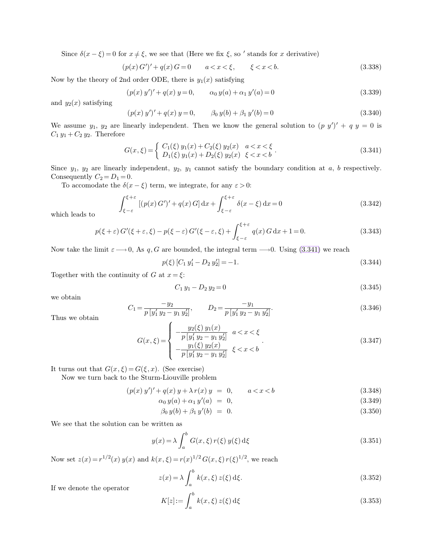Since  $\delta(x-\xi) = 0$  for  $x \neq \xi$ , we see that (Here we fix  $\xi$ , so ' stands for x derivative)

<span id="page-26-1"></span>
$$
(p(x) G')' + q(x) G = 0 \qquad a < x < \xi, \qquad \xi < x < b. \tag{3.338}
$$

Now by the theory of 2nd order ODE, there is  $y_1(x)$  satisfying

<span id="page-26-0"></span>
$$
(p(x) y')' + q(x) y = 0, \qquad \alpha_0 y(a) + \alpha_1 y'(a) = 0 \tag{3.339}
$$

and  $y_2(x)$  satisfying

$$
(p(x) y')' + q(x) y = 0, \qquad \beta_0 y(b) + \beta_1 y'(b) = 0 \qquad (3.340)
$$

We assume  $y_1, y_2$  are linearly independent. Then we know the general solution to  $(p \, y')' + q \, y = 0$  is  $C_1 y_1 + C_2 y_2$ . Therefore

$$
G(x,\xi) = \begin{cases} C_1(\xi) y_1(x) + C_2(\xi) y_2(x) & a < x < \xi \\ D_1(\xi) y_1(x) + D_2(\xi) y_2(x) & \xi < x < b \end{cases}.
$$
 (3.341)

Since  $y_1, y_2$  are linearly independent,  $y_2, y_1$  cannot satisfy the boundary condition at a, b respectively. Consequently  $C_2 = D_1 = 0$ .

To accomodate the  $\delta(x - \xi)$  term, we integrate, for any  $\varepsilon > 0$ :

$$
\int_{\xi-\varepsilon}^{\xi+\varepsilon} \left[ (p(x) G')' + q(x) G \right] dx + \int_{\xi-\varepsilon}^{\xi+\varepsilon} \delta(x-\xi) dx = 0 \tag{3.342}
$$

which leads to

$$
p(\xi + \varepsilon) G'(\xi + \varepsilon, \xi) - p(\xi - \varepsilon) G'(\xi - \varepsilon, \xi) + \int_{\xi - \varepsilon}^{\xi + \varepsilon} q(x) G \, dx + 1 = 0.
$$
 (3.343)

Now take the limit  $\varepsilon \longrightarrow 0$ , As q, G are bounded, the integral term  $\longrightarrow 0$ . Using [\(3.341\)](#page-26-0) we reach

$$
p(\xi) [C_1 y_1' - D_2 y_2'] = -1. \tag{3.344}
$$

Together with the continuity of G at  $x = \xi$ :

$$
C_1 y_1 - D_2 y_2 = 0 \tag{3.345}
$$

we obtain

$$
C_1 = \frac{-y_2}{p \left[y'_1 \ y_2 - y_1 \ y'_2\right]}, \qquad D_2 = \frac{-y_1}{p \left[y'_1 \ y_2 - y_1 \ y'_2\right]}.
$$
\n(3.346)

Thus we obtain

$$
G(x,\xi) = \begin{cases} -\frac{y_2(\xi) y_1(x)}{p [y'_1 y_2 - y_1 y'_2]} & a < x < \xi \\ -\frac{y_1(\xi) y_2(x)}{p [y'_1 y_2 - y_1 y'_2]} & \xi < x < b \end{cases}
$$
 (3.347)

It turns out that  $G(x, \xi) = G(\xi, x)$ . (See exercise)

Now we turn back to the Sturm-Liouville problem

$$
(p(x) y')' + q(x) y + \lambda r(x) y = 0, \qquad a < x < b \tag{3.348}
$$

$$
\alpha_0 y(a) + \alpha_1 y'(a) = 0, \tag{3.349}
$$

$$
\beta_0 y(b) + \beta_1 y'(b) = 0. \tag{3.350}
$$

We see that the solution can be written as

$$
y(x) = \lambda \int_{a}^{b} G(x, \xi) r(\xi) y(\xi) d\xi
$$
\n(3.351)

Now set  $z(x) = r^{1/2}(x) y(x)$  and  $k(x, \xi) = r(x)^{1/2} G(x, \xi) r(\xi)^{1/2}$ , we reach

$$
z(x) = \lambda \int_{a}^{b} k(x, \xi) z(\xi) d\xi.
$$
 (3.352)

If we denote the operator

$$
K[z] := \int_{a}^{b} k(x, \xi) z(\xi) d\xi
$$
 (3.353)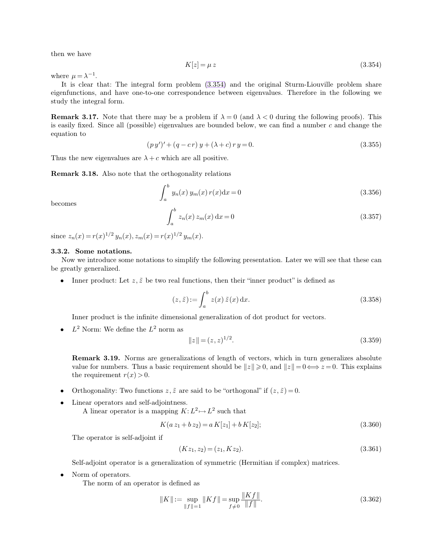then we have

$$
K[z] = \mu z \tag{3.354}
$$

where  $\mu = \lambda^{-1}$ .

It is clear that: The integral form problem [\(3.354\)](#page-27-0) and the original Sturm-Liouville problem share eigenfunctions, and have one-to-one correspondence between eigenvalues. Therefore in the following we study the integral form.

**Remark 3.17.** Note that there may be a problem if  $\lambda = 0$  (and  $\lambda < 0$  during the following proofs). This is easily fixed. Since all (possible) eigenvalues are bounded below, we can find a number c and change the equation to

$$
(py')' + (q - cr)y + (\lambda + c)ry = 0.
$$
\n(3.355)

Thus the new eigenvalues are  $\lambda + c$  which are all positive.

**Remark 3.18.** Also note that the orthogonality relations

$$
\int_{a}^{b} y_n(x) y_m(x) r(x) dx = 0
$$
\n(3.356)

becomes

$$
\int_{a}^{b} z_n(x) z_m(x) dx = 0
$$
\n(3.357)

since  $z_n(x) = r(x)^{1/2} y_n(x), z_m(x) = r(x)^{1/2} y_m(x)$ .

### **3.3.2. Some notations.**

Now we introduce some notations to simplify the following presentation. Later we will see that these can be greatly generalized.

• Inner product: Let  $z, \tilde{z}$  be two real functions, then their "inner product" is defined as

$$
(z,\tilde{z}) := \int_{a}^{b} z(x)\,\tilde{z}(x)\,\mathrm{d}x.
$$
\n(3.358)

Inner product is the infinite dimensional generalization of dot product for vectors.

•  $L^2$  Norm: We define the  $L^2$  norm as

<span id="page-27-0"></span>
$$
||z|| = (z, z)^{1/2}.
$$
\n(3.359)

**Remark 3.19.** Norms are generalizations of length of vectors, which in turn generalizes absolute value for numbers. Thus a basic requirement should be  $||z|| \ge 0$ , and  $||z|| = 0 \Longleftrightarrow z = 0$ . This explains the requirement  $r(x) > 0$ .

- Orthogonality: Two functions  $z, \tilde{z}$  are said to be "orthogonal" if  $(z, \tilde{z}) = 0$ .
- Linear operators and self-adjointness. A linear operator is a mapping  $K: L^2 \mapsto L^2$  such that

$$
K(a z_1 + b z_2) = a K[z_1] + b K[z_2];
$$
\n(3.360)

The operator is self-adjoint if

$$
(Kz_1, z_2) = (z_1, Kz_2). \tag{3.361}
$$

Self-adjoint operator is a generalization of symmetric (Hermitian if complex) matrices.

• Norm of operators.

The norm of an operator is defined as

$$
||K|| := \sup_{||f||=1} ||Kf|| = \sup_{f \neq 0} \frac{||Kf||}{||f||}.
$$
\n(3.362)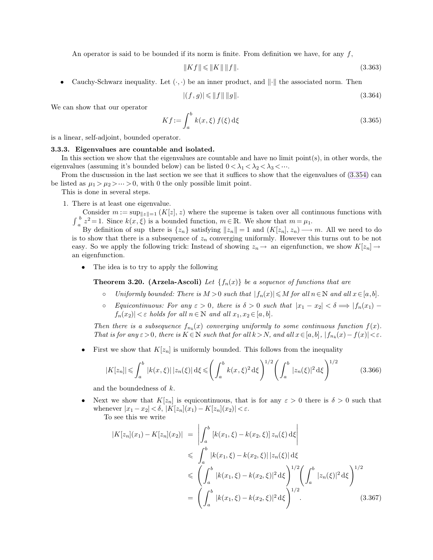An operator is said to be bounded if its norm is finite. From definition we have, for any  $f$ ,

$$
||Kf|| \le ||K|| \, ||f||. \tag{3.363}
$$

• Cauchy-Schwarz inequality. Let  $(·, ·)$  be an inner product, and  $||·||$  the associated norm. Then

$$
|(f,g)| \le \|f\| \|g\|. \tag{3.364}
$$

We can show that our operator

$$
Kf := \int_{a}^{b} k(x,\xi) f(\xi) d\xi
$$
\n(3.365)

is a linear, self-adjoint, bounded operator.

#### **3.3.3. Eigenvalues are countable and isolated.**

In this section we show that the eigenvalues are countable and have no limit point $(s)$ , in other words, the eigenvalues (assuming it's bounded below) can be listed  $0 < \lambda_1 < \lambda_2 < \lambda_3 < \cdots$ .

From the duscussion in the last section we see that it suffices to show that the eigenvalues of [\(3.354\)](#page-27-0) can be listed as  $\mu_1 > \mu_2 > \dots > 0$ , with 0 the only possible limit point.

This is done in several steps.

1. There is at least one eigenvalue.

Consider  $m := \sup_{\|z\|=1} (K[z], z)$  where the supreme is taken over all continuous functions with  $\int_a^b$  $\frac{b}{n}z^2=1$ . Since  $k(x,\xi)$  is a bounded function,  $m \in \mathbb{R}$ . We show that  $m = \mu_1$ .

By definition of sup there is  $\{z_n\}$  satisfying  $||z_n|| = 1$  and  $(K[z_n], z_n) \longrightarrow m$ . All we need to do is to show that there is a subsequence of  $z_n$  converging uniformly. However this turns out to be not easy. So we apply the following trick: Instead of showing  $z_n \to a$  an eigenfunction, we show  $K[z_n] \to a$ an eigenfunction.

• The idea is to try to apply the following

**Theorem 3.20. (Arzela-Ascoli)** Let  $\{f_n(x)\}\$ be a sequence of functions that are

- *Uniformly bounded: There is*  $M > 0$  *such that*  $|f_n(x)| \leq M$  *for all*  $n \in \mathbb{N}$  *and all*  $x \in [a, b]$ *.*
- **•** *Equicontinuous: For any*  $ε > 0$ *, there is*  $δ > 0$  *such that*  $|x_1 x_2| < δ ⇒ |f_n(x_1) f_n(x_2)|$  $|f_n(x_2)| < \varepsilon$  *holds for all*  $n \in \mathbb{N}$  *and all*  $x_1, x_2 \in [a, b]$ *.*

Then there is a subsequence  $f_{n_k}(x)$  converging uniformly to some continuous function  $f(x)$ . *That is for any*  $\varepsilon > 0$ *, there is*  $K \in \mathbb{N}$  *such that for all*  $k > N$ *, and all*  $x \in [a, b]$ *,*  $|f_{n_k}(x) - f(x)| < \varepsilon$ *.* 

First we show that  $K[z_n]$  is uniformly bounded. This follows from the inequality

$$
|K[z_n]| \leqslant \int_a^b |k(x,\xi)| \, |z_n(\xi)| \, \mathrm{d}\xi \leqslant \left(\int_a^b k(x,\xi)^2 \, \mathrm{d}\xi\right)^{1/2} \left(\int_a^b |z_n(\xi)|^2 \, \mathrm{d}\xi\right)^{1/2} \tag{3.366}
$$

and the boundedness of k.

Next we show that  $K[z_n]$  is equicontinuous, that is for any  $\varepsilon > 0$  there is  $\delta > 0$  such that whenever  $|x_1 - x_2| < \delta$ ,  $|K[z_n](x_1) - K[z_n](x_2)| < \varepsilon$ .

To see this we write

$$
|K[z_n](x_1) - K[z_n](x_2)| = \left| \int_a^b [k(x_1, \xi) - k(x_2, \xi)] z_n(\xi) d\xi \right|
$$
  
\n
$$
\leq \int_a^b |k(x_1, \xi) - k(x_2, \xi)| |z_n(\xi)| d\xi
$$
  
\n
$$
\leq \left( \int_a^b |k(x_1, \xi) - k(x_2, \xi)|^2 d\xi \right)^{1/2} \left( \int_a^b |z_n(\xi)|^2 d\xi \right)^{1/2}
$$
  
\n
$$
= \left( \int_a^b |k(x_1, \xi) - k(x_2, \xi)|^2 d\xi \right)^{1/2}.
$$
 (3.367)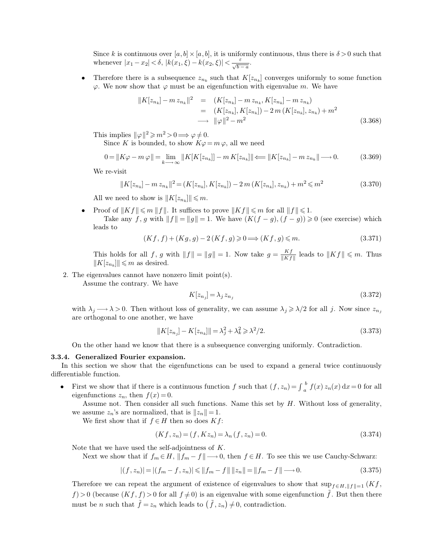Since k is continuous over  $[a,b] \times [a,b]$ , it is uniformly continuous, thus there is  $\delta > 0$  such that whenever  $|x_1-x_2| < \delta$ ,  $|k(x_1,\xi) - k(x_2,\xi)| < \frac{\varepsilon}{\sqrt{b}}$ .  $rac{\varepsilon}{\sqrt{b-a}}$ .

• Therefore there is a subsequence  $z_{n_k}$  such that  $K[z_{n_k}]$  converges uniformly to some function  $\varphi$ . We now show that  $\varphi$  must be an eigenfunction with eigenvalue m. We have

$$
||K[z_{n_k}] - m z_{n_k}||^2 = (K[z_{n_k}] - m z_{n_k}, K[z_{n_k}] - m z_{n_k})
$$
  
=  $(K[z_{n_k}], K[z_{n_k}]) - 2 m (K[z_{n_k}], z_{n_k}) + m^2$   
 $\longrightarrow ||\varphi||^2 - m^2$  (3.368)

This implies  $\|\varphi\|^2 \geqslant m^2 > 0 \Longrightarrow \varphi \neq 0.$ 

Since K is bounded, to show  $K\varphi = m\varphi$ , all we need

$$
0 = \|K\varphi - m\varphi\| = \lim_{k \to \infty} \|K[K[z_{n_k}]] - mK[z_{n_k}]\| \Longleftarrow \|K[z_{n_k}] - m z_{n_k}\| \longrightarrow 0. \tag{3.369}
$$

We re-visit

$$
||K[z_{n_k}] - m z_{n_k}||^2 = (K[z_{n_k}], K[z_{n_k}]) - 2m(K[z_{n_k}], z_{n_k}) + m^2 \le m^2
$$
\n(3.370)

All we need to show is  $||K[z_{n_k}]|| \leq m$ .

Proof of  $||Kf|| \leq m ||f||$ . It suffices to prove  $||Kf|| \leq m$  for all  $||f|| \leq 1$ . Take any f, g with  $||f|| = ||g|| = 1$ . We have  $(K(f - g), (f - g)) \ge 0$  (see exercise) which leads to

$$
(Kf, f) + (Kg, g) - 2(Kf, g) \ge 0 \Longrightarrow (Kf, g) \le m. \tag{3.371}
$$

This holds for all f, g with  $||f|| = ||g|| = 1$ . Now take  $g = \frac{Kf}{||Kf||}$  $\frac{Kf}{\|Kf\|}$  leads to  $\|Kf\| \leq m$ . Thus  $||K[z_{n_k}]|| \leq m$  as desired.

2. The eigenvalues cannot have nonzero limit point(s).

Assume the contrary. We have

$$
K[z_{n_j}] = \lambda_j z_{n_j} \tag{3.372}
$$

with  $\lambda_j \longrightarrow \lambda > 0$ . Then without loss of generality, we can assume  $\lambda_j \geq \lambda/2$  for all j. Now since  $z_{n_j}$ are orthogonal to one another, we have

$$
||K[z_{n_j}] - K[z_{n_k}]|| = \lambda_j^2 + \lambda_k^2 \ge \lambda^2/2.
$$
\n
$$
(3.373)
$$

On the other hand we know that there is a subsequence converging uniformly. Contradiction.

### **3.3.4. Generalized Fourier expansion.**

In this section we show that the eigenfunctions can be used to expand a general twice continuously differentiable function.

• First we show that if there is a continuous function f such that  $(f, z_n) = \int_a^b$  $\int_a^b f(x) z_n(x) dx = 0$  for all eigenfunctions  $z_n$ , then  $f(x) = 0$ .

Assume not. Then consider all such functions. Name this set by  $H$ . Without loss of generality, we assume  $z_n$ 's are normalized, that is  $||z_n|| = 1$ .

We first show that if  $f \in H$  then so does  $Kf$ :

$$
(Kf, z_n) = (f, Kz_n) = \lambda_n (f, z_n) = 0.
$$
\n(3.374)

Note that we have used the self-adjointness of K.

Next we show that if  $f_m \in H$ ,  $||f_m - f|| \longrightarrow 0$ , then  $f \in H$ . To see this we use Cauchy-Schwarz:

$$
|(f, z_n)| = |(f_m - f, z_n)| \le ||f_m - f|| \, ||z_n|| = ||f_m - f|| \longrightarrow 0. \tag{3.375}
$$

Therefore we can repeat the argument of existence of eigenvalues to show that  $\sup_{f\in H,||f||=1} (Kf,$  $f$  > 0 (because  $(Kf, f)$  > 0 for all  $f \neq 0$ ) is an eigenvalue with some eigenfunction  $\tilde{f}$ . But then there must be *n* such that  $\tilde{f} = z_n$  which leads to  $(\tilde{f}, z_n) \neq 0$ , contradiction.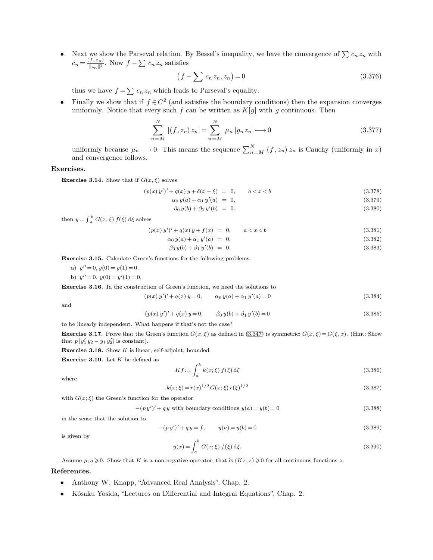• Next we show the Parseval relation. By Bessel's inequality, we have the convergence of  $\sum c_n z_n$  with  $c_n = \frac{(f, z_n)}{\|z\|_2^2}$  $\frac{\sum_{i=1}^{j} z_i}{\|z_n\|^2}$ . Now  $f - \sum_{i=1}^{j} c_i z_i$  satisfies

$$
(f - \sum c_n z_n, z_n) = 0 \tag{3.376}
$$

thus we have  $f = \sum_{n} c_n z_n$  which leads to Parseval's equality.

• Finally we show that if  $f \in C^2$  (and satisfies the boundary conditions) then the expansion converges uniformly. Notice that every such f can be written as  $K[g]$  with g continuous. Then

$$
\sum_{n=M}^{N} |(f, z_n) z_n| = \sum_{n=M}^{N} \mu_n |g_n z_n| \longrightarrow 0
$$
\n(3.377)

uniformly because  $\mu_n \longrightarrow 0$ . This means the sequence  $\sum_{n=M}^{N}$  $\sum_{n=M}^{N} (f, z_n) z_n$  is Cauchy (uniformly in x) and convergence follows.

### **Exercises.**

**Exercise 3.14.** Show that if  $G(x, \xi)$  solves

$$
(p(x) y')' + q(x) y + \delta(x - \xi) = 0, \qquad a < x < b \tag{3.378}
$$

$$
\alpha_0 y(a) + \alpha_1 y'(a) = 0, \tag{3.379}
$$

$$
\beta_0 y(b) + \beta_1 y'(b) = 0. \tag{3.380}
$$

then  $y = \int_a^b G(x, \xi) f(\xi) d\xi$  solves

$$
(p(x) y')' + q(x) y + f(x) = 0, \qquad a < x < b \tag{3.381}
$$

$$
\alpha_0 y(a) + \alpha_1 y'(a) = 0, \tag{3.382}
$$

$$
\beta_0 y(b) + \beta_1 y'(b) = 0. \tag{3.383}
$$

**Exercise 3.15.** Calculate Green's functions for the following problems.

a)  $y'' = 0, y(0) = y(1) = 0.$ 

b)  $y'' = 0$ ,  $y(0) = y'(1) = 0$ .

**Exercise 3.16.** In the construction of Green's function, we need the solutions to

$$
(p(x) y')' + q(x) y = 0, \qquad \alpha_0 y(a) + \alpha_1 y'(a) = 0 \tag{3.384}
$$

and

$$
(p(x) y')' + q(x) y = 0, \qquad \beta_0 y(b) + \beta_1 y'(b) = 0
$$
\n(3.385)

to be linearly independent. What happens if that's not the case?

**Exercise 3.17.** Prove that the Green's function  $G(x, \xi)$  as defined in [\(3.347\)](#page-26-1) is symmetric:  $G(x, \xi) = G(\xi, x)$ . (Hint: Show that  $p[y'_1 y_2 - y_1 y'_2]$  is constant).

**Exercise 3.18.** Show K is linear, self-adjoint, bounded.

**Exercise 3.19.** Let K be defined as

$$
Kf := \int_{a}^{b} k(x;\xi) f(\xi) d\xi
$$
\n(3.386)

where

$$
k(x;\xi) = r(x)^{1/2} G(x;\xi) r(\xi)^{1/2}
$$
\n(3.387)

with  $G(x;\xi)$  the Green's function for the operator

 $-(py')' + qy$  with boundary conditions  $y(a) = y(b) = 0$  (3.388)

in the sense that the solution to

$$
-(p y')' + q y = f, \t y(a) = y(b) = 0 \t (3.389)
$$

is given by

$$
y(x) = \int_{a}^{b} G(x; \xi) f(\xi) d\xi.
$$
 (3.390)

Assume  $p, q \geqslant 0$ . Show that K is a non-negative operator, that is  $(Kz, z) \geqslant 0$  for all continuous functions z.

**References.**

- Anthony W. Knapp, "Advanced Real Analysis", Chap. 2.
- Kôsaku Yosida, "Lectures on Differential and Integral Equations", Chap. 2.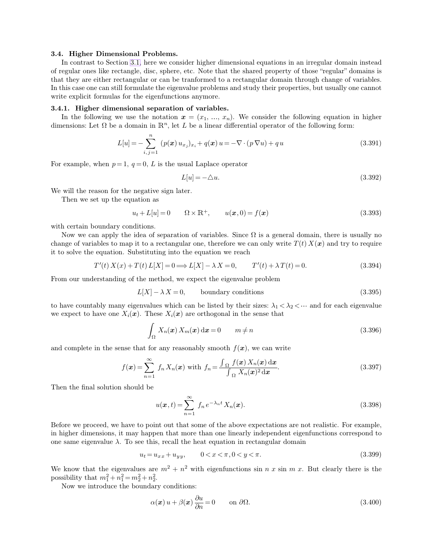### <span id="page-31-0"></span>**3.4. Higher Dimensional Problems.**

In contrast to Section [3.1,](#page-11-0) here we consider higher dimensional equations in an irregular domain instead of regular ones like rectangle, disc, sphere, etc. Note that the shared property of those "regular" domains is that they are either rectangular or can be tranformed to a rectangular domain through change of variables. In this case one can still formulate the eigenvalue problems and study their properties, but usually one cannot write explicit formulas for the eigenfunctions anymore.

### **3.4.1. Higher dimensional separation of variables.**

In the following we use the notation  $x = (x_1, ..., x_n)$ . We consider the following equation in higher dimensions: Let  $\Omega$  be a domain in  $\mathbb{R}^n$ , let L be a linear differential operator of the following form:

$$
L[u] = -\sum_{i,j=1}^{n} (p(x) u_{x_j})_{x_i} + q(x) u = -\nabla \cdot (p \nabla u) + qu
$$
\n(3.391)

For example, when  $p=1, q=0, L$  is the usual Laplace operator

$$
L[u] = -\Delta u. \tag{3.392}
$$

We will the reason for the negative sign later.

Then we set up the equation as

$$
u_t + L[u] = 0 \qquad \Omega \times \mathbb{R}^+, \qquad u(x,0) = f(x) \tag{3.393}
$$

with certain boundary conditions.

Now we can apply the idea of separation of variables. Since  $\Omega$  is a general domain, there is usually no change of variables to map it to a rectangular one, therefore we can only write  $T(t) X(\mathbf{x})$  and try to require it to solve the equation. Substituting into the equation we reach

$$
T'(t) X(x) + T(t) L[X] = 0 \Longrightarrow L[X] - \lambda X = 0, \qquad T'(t) + \lambda T(t) = 0.
$$
\n
$$
(3.394)
$$

From our understanding of the method, we expect the eigenvalue problem

$$
L[X] - \lambda X = 0, \qquad \text{boundary conditions} \tag{3.395}
$$

to have countably many eigenvalues which can be listed by their sizes:  $\lambda_1 < \lambda_2 < \cdots$  and for each eigenvalue we expect to have one  $X_i(\boldsymbol{x})$ . These  $X_i(\boldsymbol{x})$  are orthogonal in the sense that

$$
\int_{\Omega} X_n(\boldsymbol{x}) X_m(\boldsymbol{x}) \, \mathrm{d}\boldsymbol{x} = 0 \qquad m \neq n \tag{3.396}
$$

and complete in the sense that for any reasonably smooth  $f(x)$ , we can write

$$
f(\boldsymbol{x}) = \sum_{n=1}^{\infty} f_n X_n(\boldsymbol{x}) \text{ with } f_n = \frac{\int_{\Omega} f(\boldsymbol{x}) X_n(\boldsymbol{x}) \, \mathrm{d}\boldsymbol{x}}{\int_{\Omega} X_n(\boldsymbol{x})^2 \, \mathrm{d}\boldsymbol{x}}.
$$
 (3.397)

Then the final solution should be

$$
u(\boldsymbol{x},t) = \sum_{n=1}^{\infty} f_n e^{-\lambda_n t} X_n(\boldsymbol{x}).
$$
\n(3.398)

Before we proceed, we have to point out that some of the above expectations are not realistic. For example, in higher dimensions, it may happen that more than one linearly independent eigenfunctions correspond to one same eigenvalue  $\lambda$ . To see this, recall the heat equation in rectangular domain

$$
u_t = u_{xx} + u_{yy}, \qquad 0 < x < \pi, 0 < y < \pi. \tag{3.399}
$$

We know that the eigenvalues are  $m^2 + n^2$  with eigenfunctions sin n x sin m x. But clearly there is the possibility that  $m_1^2 + n_1^2 = m_2^2 + n_2^2$ .

Now we introduce the boundary conditions:

$$
\alpha(\mathbf{x}) u + \beta(\mathbf{x}) \frac{\partial u}{\partial n} = 0 \qquad \text{on } \partial \Omega.
$$
 (3.400)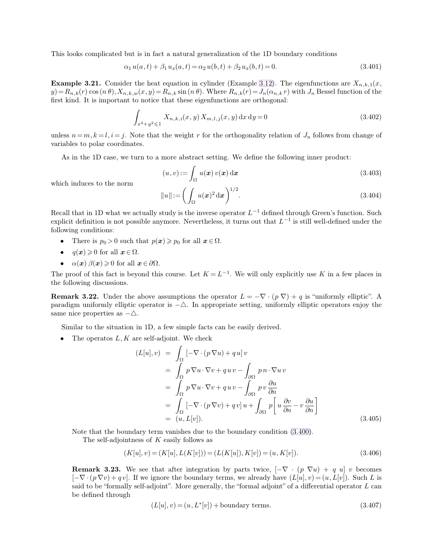This looks complicated but is in fact a natural generalization of the 1D boundary conditions

$$
\alpha_1 u(a,t) + \beta_1 u_x(a,t) = \alpha_2 u(b,t) + \beta_2 u_x(b,t) = 0.
$$
\n(3.401)

**Example 3.21.** Consider the heat equation in cylinder (Example [3.12\)](#page-15-0). The eigenfunctions are  $X_{n,k,1}(x)$ ,  $y) = R_{n,k}(r) \cos(n \theta), X_{n,k,w}(x, y) = R_{n,k} \sin(n \theta)$ . Where  $R_{n,k}(r) = J_n(\alpha_{n,k} r)$  with  $J_n$  Bessel function of the first kind. It is important to notice that these eigenfunctions are orthogonal:

$$
\int_{x^2+y^2 \leq 1} X_{n,k,i}(x,y) X_{m,l,j}(x,y) dx dy = 0
$$
\n(3.402)

unless  $n = m, k = l, i = j$ . Note that the weight r for the orthogonality relation of  $J_n$  follows from change of variables to polar coordinates.

As in the 1D case, we turn to a more abstract setting. We define the following inner product:

$$
(u, v) := \int_{\Omega} u(\mathbf{x}) v(\mathbf{x}) \, \mathrm{d}\mathbf{x}
$$
\n(3.403)

which induces to the norm

$$
||u|| := \left(\int_{\Omega} u(\boldsymbol{x})^2 d\boldsymbol{x}\right)^{1/2}.
$$
\n(3.404)

Recall that in 1D what we actually study is the inverse operator  $L^{-1}$  defined through Green's function. Such explicit definition is not possible anymore. Nevertheless, it turns out that  $L^{-1}$  is still well-defined under the following conditions:

- There is  $p_0 > 0$  such that  $p(x) \geq p_0$  for all  $x \in \Omega$ .
- $q(x) \geq 0$  for all  $x \in \Omega$ .
- $\alpha(x) \beta(x) \geqslant 0$  for all  $x \in \partial \Omega$ .

The proof of this fact is beyond this course. Let  $K = L^{-1}$ . We will only explicitly use K in a few places in the following discussions.

**Remark 3.22.** Under the above assumptions the operator  $L = -\nabla \cdot (p \nabla) + q$  is "uniformly elliptic". A paradigm uniformly elliptic operator is  $-\triangle$ . In appropriate setting, uniformly elliptic operators enjoy the same nice properties as  $-\Delta$ .

Similar to the situation in 1D, a few simple facts can be easily derived.

• The operatos  $L, K$  are self-adjoint. We check

$$
(L[u], v) = \int_{\Omega} \left[ -\nabla \cdot (p \nabla u) + qu \right] v
$$
  
\n
$$
= \int_{\Omega} p \nabla u \cdot \nabla v + quv - \int_{\partial \Omega} p n \cdot \nabla u v
$$
  
\n
$$
= \int_{\Omega} p \nabla u \cdot \nabla v + quv - \int_{\partial \Omega} p v \frac{\partial u}{\partial n}
$$
  
\n
$$
= \int_{\Omega} \left[ -\nabla \cdot (p \nabla v) + q v \right] u + \int_{\partial \Omega} p \left[ u \frac{\partial v}{\partial n} - v \frac{\partial u}{\partial n} \right]
$$
  
\n
$$
= (u, L[v]). \tag{3.405}
$$

Note that the boundary term vanishes due to the boundary condition [\(3.400\)](#page-31-0).

The self-adjointness of K easily follows as

$$
(K[u], v) = (K[u], L(K[v])) = (L(K[u]), K[v]) = (u, K[v]).
$$
\n(3.406)

**Remark 3.23.** We see that after integration by parts twice,  $[-\nabla \cdot (p \nabla u) + q u] v$  becomes  $[-\nabla \cdot (p \nabla v) + q v]$ . If we ignore the boundary terms, we already have  $(L[u], v) = (u, L[v])$ . Such L is said to be "formally self-adjoint". More generally, the "formal adjoint" of a differential operator L can be defined through

$$
(L[u], v) = (u, L^*[v]) + \text{boundary terms.} \tag{3.407}
$$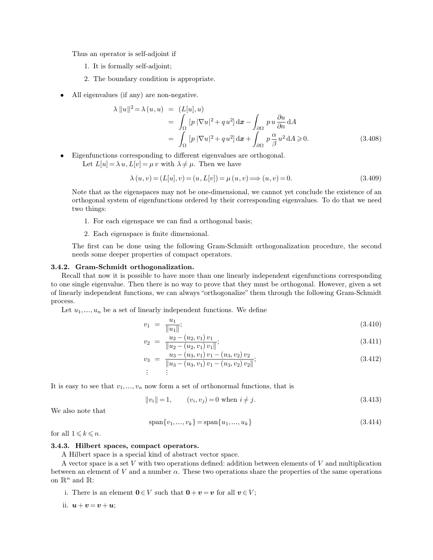Thus an operator is self-adjoint if

- 1. It is formally self-adjoint;
- 2. The boundary condition is appropriate.
- All eigenvalues (if any) are non-negative.

$$
\lambda \|u\|^2 = \lambda (u, u) = (L[u], u)
$$
  
= 
$$
\int_{\Omega} [p |\nabla u|^2 + qu^2] \, dx - \int_{\partial \Omega} p u \frac{\partial u}{\partial n} dA
$$
  
= 
$$
\int_{\Omega} [p |\nabla u|^2 + qu^2] \, dx + \int_{\partial \Omega} p \frac{\alpha}{\beta} u^2 \, dA \ge 0.
$$
 (3.408)

• Eigenfunctions corresponding to different eigenvalues are orthogonal.

Let  $L[u] = \lambda u, L[v] = \mu v$  with  $\lambda \neq \mu$ . Then we have

$$
\lambda (u, v) = (L[u], v) = (u, L[v]) = \mu (u, v) \Longrightarrow (u, v) = 0.
$$
\n(3.409)

Note that as the eigenspaces may not be one-dimensional, we cannot yet conclude the existence of an orthogonal system of eigenfunctions ordered by their corresponding eigenvalues. To do that we need two things:

- 1. For each eigenspace we can find a orthogonal basis;
- 2. Each eigenspace is finite dimensional.

The first can be done using the following Gram-Schmidt orthogonalization procedure, the second needs some deeper properties of compact operators.

## **3.4.2. Gram-Schmidt orthogonalization.**

Recall that now it is possible to have more than one linearly independent eigenfunctions corresponding to one single eigenvalue. Then there is no way to prove that they must be orthogonal. However, given a set of linearly independent functions, we can always "orthogonalize" them through the following Gram-Schmidt process.

Let  $u_1, \ldots, u_n$  be a set of linearly independent functions. We define

$$
v_1 = \frac{u_1}{\|u_1\|};\tag{3.410}
$$

$$
v_2 = \frac{u_2 - (u_2, v_1) v_1}{\|u_2 - (u_2, v_1) v_1\|};\tag{3.411}
$$

$$
v_3 = \frac{u_3 - (u_3, v_1) v_1 - (u_3, v_2) v_2}{\|u_3 - (u_3, v_1) v_1 - (u_3, v_2) v_2\|};
$$
\n(3.412)\n  
\n
$$
\vdots
$$

It is easy to see that  $v_1, \ldots, v_n$  now form a set of orthonormal functions, that is

$$
||v_i|| = 1, \t(v_i, v_j) = 0 \t when \t i \neq j. \t(3.413)
$$

We also note that

$$
span{v_1, ..., v_k} = span{u_1, ..., u_k}
$$
\n(3.414)

for all  $1 \leq k \leq n$ .

#### **3.4.3. Hilbert spaces, compact operators.**

A Hilbert space is a special kind of abstract vector space.

A vector space is a set  $V$  with two operations defined: addition between elements of  $V$  and multiplication between an element of V and a number  $\alpha$ . These two operations share the properties of the same operations on  $\mathbb{R}^n$  and  $\mathbb{R}$ :

i. There is an element  $0 \in V$  such that  $0 + v = v$  for all  $v \in V$ ;

ii.  $u + v = v + u$ ;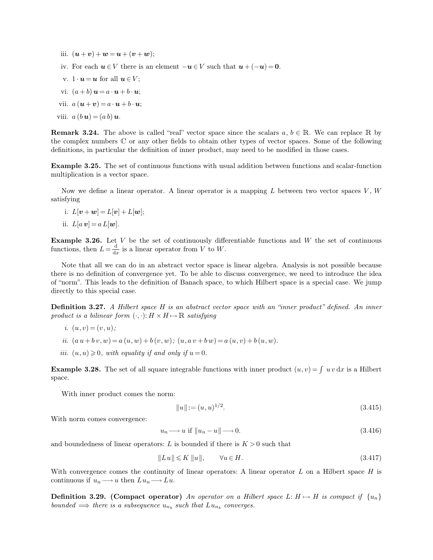iii.  $(u + v) + w = u + (v + w);$ iv. For each  $u \in V$  there is an element  $-u \in V$  such that  $u + (-u) = 0$ . v.  $1 \cdot u = u$  for all  $u \in V$ : vi.  $(a + b)$   $\mathbf{u} = a \cdot \mathbf{u} + b \cdot \mathbf{u}$ ; vii.  $a(\mathbf{u} + \mathbf{v}) = a \cdot \mathbf{u} + b \cdot \mathbf{u}$ ; viii.  $a (b \mathbf{u}) = (a b) \mathbf{u}$ .

**Remark 3.24.** The above is called "real" vector space since the scalars  $a, b \in \mathbb{R}$ . We can replace R by the complex numbers C or any other fields to obtain other types of vector spaces. Some of the following definitions, in particular the definition of inner product, may need to be modified in those cases.

**Example 3.25.** The set of continuous functions with usual addition between functions and scalar-function multiplication is a vector space.

Now we define a linear operator. A linear operator is a mapping  $L$  between two vector spaces  $V, W$ satisfying

- i.  $L[\mathbf{v} + \mathbf{w}] = L[\mathbf{v}] + L[\mathbf{w}];$
- ii.  $L[a v] = a L[w]$ .

**Example 3.26.** Let  $V$  be the set of continuously differentiable functions and  $W$  the set of continuous functions, then  $L = \frac{d}{da}$  $\frac{d}{dx}$  is a linear operator from V to W.

Note that all we can do in an abstract vector space is linear algebra. Analysis is not possible because there is no definition of convergence yet. To be able to discuss convergence, we need to introduce the idea of "norm". This leads to the definition of Banach space, to which Hilbert space is a special case. We jump directly to this special case.

**Definition 3.27.** *A Hilbert space* H *is an abstract vector space with an "inner product" defined. An inner product is a bilinear form*  $(\cdot, \cdot): H \times H \mapsto \mathbb{R}$  *satisfying* 

$$
i. (u, v) = (v, u);
$$

- *ii.*  $(a u + b v, w) = a (u, w) + b (v, w); (u, a v + b w) = a (u, v) + b (u, w).$
- *iii.*  $(u, u) \geq 0$ *, with equality if and only if*  $u = 0$ *.*

**Example 3.28.** The set of all square integrable functions with inner product  $(u, v) = \int u v dx$  is a Hilbert space.

With inner product comes the norm:

$$
||u|| := (u, u)^{1/2}.
$$
\n(3.415)

With norm comes convergence:

$$
u_n \longrightarrow u \text{ if } \|u_n - u\| \longrightarrow 0. \tag{3.416}
$$

and boundedness of linear operators: L is bounded if there is  $K > 0$  such that

$$
||Lu|| \leq K ||u||, \qquad \forall u \in H. \tag{3.417}
$$

With convergence comes the continuity of linear operators: A linear operator  $L$  on a Hilbert space  $H$  is continuous if  $u_n \longrightarrow u$  then  $Lu_n \longrightarrow Lu$ .

**Definition 3.29. (Compact operator)** *An operator on a Hilbert space*  $L: H \mapsto H$  *is compact if*  $\{u_n\}$ *bounded*  $\implies$  *there is a subsequence*  $u_{n_k}$  *such that*  $Lu_{n_k}$  *converges.*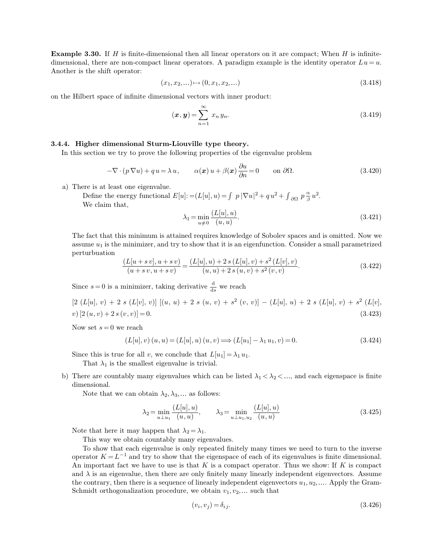**Example 3.30.** If H is finite-dimensional then all linear operators on it are compact; When H is infinitedimensional, there are non-compact linear operators. A paradigm example is the identity operator  $Lu = u$ . Another is the shift operator:

$$
(x_1, x_2, \ldots) \mapsto (0, x_1, x_2, \ldots) \tag{3.418}
$$

on the Hilbert space of infinite dimensional vectors with inner product:

$$
(\boldsymbol{x}, \boldsymbol{y}) = \sum_{n=1}^{\infty} x_n y_n.
$$
\n(3.419)

### **3.4.4. Higher dimensional Sturm-Liouville type theory.**

In this section we try to prove the following properties of the eigenvalue problem

$$
-\nabla \cdot (p \nabla u) + q u = \lambda u, \qquad \alpha(x) u + \beta(x) \frac{\partial u}{\partial n} = 0 \qquad \text{on } \partial \Omega.
$$
 (3.420)

a) There is at least one eigenvalue.

Define the energy functional  $E[u] := (L[u], u) = \int p |\nabla u|^2 + q u^2 + \int_{\partial\Omega} p \frac{\alpha}{\beta}$  $\frac{\alpha}{\beta}u^2$ . We claim that,

$$
\lambda_1 = \min_{u \neq 0} \frac{(L[u], u)}{(u, u)}.
$$
\n(3.421)

The fact that this minimum is attained requires knowledge of Sobolev spaces and is omitted. Now we assume  $u_1$  is the minimizer, and try to show that it is an eigenfunction. Consider a small parametrized perturbuation

$$
\frac{(L[u+s\,v], u+s\,v)}{(u+s\,v, u+s\,v)} = \frac{(L[u], u) + 2\,s\,(L[u], v) + s^2\,(L[v], v)}{(u, u) + 2\,s\,(u, v) + s^2\,(v, v)}.\tag{3.422}
$$

Since  $s = 0$  is a minimizer, taking derivative  $\frac{d}{ds}$  we reach

 $[2 (L[u], v) + 2 s (L[v], v)] [(u, u) + 2 s (u, v) + s<sup>2</sup> (v, v)] - (L[u], u) + 2 s (L[u], v) + s<sup>2</sup> (L[v], v)$  $v) [2(u, v) + 2s(v, v)] = 0.$  (3.423)

Now set  $s = 0$  we reach

$$
(L[u], v) (u, u) = (L[u], u) (u, v) \Longrightarrow (L[u_1] - \lambda_1 u_1, v) = 0.
$$
\n(3.424)

Since this is true for all v, we conclude that  $L[u_1] = \lambda_1 u_1$ .

That  $\lambda_1$  is the smallest eigenvalue is trivial.

b) There are countably many eigenvalues which can be listed  $\lambda_1 < \lambda_2 < \dots$ , and each eigenspace is finite dimensional.

Note that we can obtain  $\lambda_2, \lambda_3, \dots$  as follows:

$$
\lambda_2 = \min_{u \perp u_1} \frac{(L[u], u)}{(u, u)}, \qquad \lambda_3 = \min_{u \perp u_1, u_2} \frac{(L[u], u)}{(u, u)} \tag{3.425}
$$

Note that here it may happen that  $\lambda_2 = \lambda_1$ .

This way we obtain countably many eigenvalues.

To show that each eigenvalue is only repeated finitely many times we need to turn to the inverse operator  $K = L^{-1}$  and try to show that the eigenspace of each of its eigenvalues is finite dimensional. An important fact we have to use is that  $K$  is a compact operator. Thus we show: If  $K$  is compact and  $\lambda$  is an eigenvalue, then there are only finitely many linearly independent eigenvectors. Assume the contrary, then there is a sequence of linearly independent eigenvectors  $u_1, u_2, \ldots$ . Apply the Gram-Schmidt orthogonalization procedure, we obtain  $v_1, v_2, \ldots$  such that

$$
(v_i, v_j) = \delta_{ij}.\tag{3.426}
$$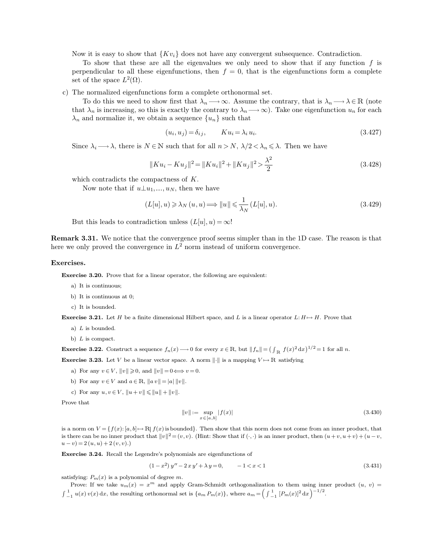Now it is easy to show that  $\{Kv_i\}$  does not have any convergent subsequence. Contradiction.

To show that these are all the eigenvalues we only need to show that if any function  $f$  is perpendicular to all these eigenfunctions, then  $f = 0$ , that is the eigenfunctions form a complete set of the space  $L^2(\Omega)$ .

c) The normalized eigenfunctions form a complete orthonormal set.

To do this we need to show first that  $\lambda_n \longrightarrow \infty$ . Assume the contrary, that is  $\lambda_n \longrightarrow \lambda \in \mathbb{R}$  (note that  $\lambda_n$  is increasing, so this is exactly the contrary to  $\lambda_n \longrightarrow \infty$ ). Take one eigenfunction  $u_n$  for each  $\lambda_n$  and normalize it, we obtain a sequence  $\{u_n\}$  such that

$$
(u_i, u_j) = \delta_{ij}, \qquad Ku_i = \lambda_i u_i. \tag{3.427}
$$

Since  $\lambda_i \longrightarrow \lambda$ , there is  $N \in \mathbb{N}$  such that for all  $n > N$ ,  $\lambda/2 < \lambda_n \leq \lambda$ . Then we have

$$
||Ku_i - Ku_j||^2 = ||Ku_i||^2 + ||Ku_j||^2 > \frac{\lambda^2}{2}
$$
\n(3.428)

which contradicts the compactness of K.

Now note that if  $u \perp u_1, \ldots, u_N$ , then we have

$$
(L[u], u) \ge \lambda_N(u, u) \Longrightarrow \|u\| \le \frac{1}{\lambda_N}(L[u], u). \tag{3.429}
$$

But this leads to contradiction unless  $(L[u], u) = \infty!$ 

**Remark 3.31.** We notice that the convergence proof seems simpler than in the 1D case. The reason is that here we only proved the convergence in  $L^2$  norm instead of uniform convergence.

#### **Exercises.**

**Exercise 3.20.** Prove that for a linear operator, the following are equivalent:

- a) It is continuous;
- b) It is continuous at 0;
- c) It is bounded.

**Exercise 3.21.** Let H be a finite dimensional Hilbert space, and L is a linear operator  $L: H \mapsto H$ . Prove that

- a)  $L$  is bounded.
- b)  $L$  is compact.

**Exercise 3.22.** Construct a sequence  $f_n(x) \to 0$  for every  $x \in \mathbb{R}$ , but  $||f_n|| = (\int_{\mathbb{R}} f(x)^2 dx)^{1/2} = 1$  for all n.

**Exercise 3.23.** Let V be a linear vector space. A norm  $\|\cdot\|$  is a mapping  $V \mapsto \mathbb{R}$  satisfying

- a) For any  $v \in V$ ,  $||v|| \ge 0$ , and  $||v|| = 0 \Longleftrightarrow v = 0$ .
- b) For any  $v \in V$  and  $a \in \mathbb{R}$ ,  $||a v|| = |a| ||v||$ .
- c) For any  $u, v \in V$ ,  $||u + v|| \le ||u|| + ||v||$ .

Prove that

$$
||v|| := \sup_{x \in [a, b]} |f(x)| \tag{3.430}
$$

is a norm on  $V = \{f(x): [a, b] \mapsto \mathbb{R} | f(x)$  is bounded. Then show that this norm does not come from an inner product, that is there can be no inner product that  $||v||^2 = (v, v)$ . (Hint: Show that if  $(\cdot, \cdot)$  is an inner product, then  $(u + v, u + v) + (u - v, u + v)$  $(u - v) = 2(u, u) + 2(v, v).$ 

**Exercise 3.24.** Recall the Legendre's polynomials are eigenfunctions of

$$
(1-x^2)y'' - 2xy' + \lambda y = 0, \qquad -1 < x < 1
$$
\n(3.431)

satisfying:  $P_m(x)$  is a polynomial of degree m.

Prove: If we take  $u_m(x) = x^m$  and apply Gram-Schmidt orthogonalization to them using inner product  $(u, v)$  $\int_{-1}^{1} u(x) v(x) dx$ , the resulting orthonormal set is  $\{a_m P_m(x)\}$ , where  $a_m = \left(\int_{-1}^{1} [P_m(x)]^2 dx\right)^{-1/2}$ .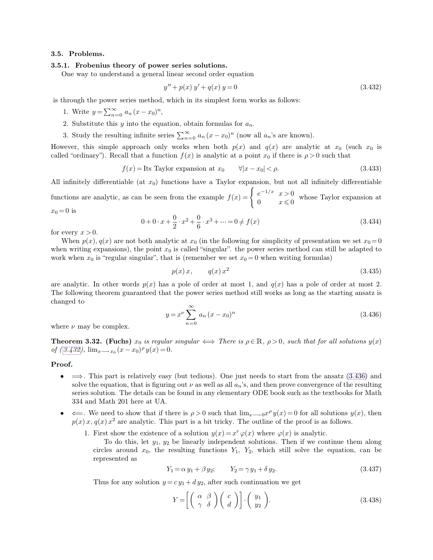### **3.5. Problems.**

### **3.5.1. Frobenius theory of power series solutions.**

One way to understand a general linear second order equation

$$
y'' + p(x) y' + q(x) y = 0 \tag{3.432}
$$

is through the power series method, which in its simplest form works as follows:

- 1. Write  $y = \sum_{n=0}^{\infty} a_n (x x_0)^n$ ,
- 2. Substitute this y into the equation, obtain formulas for  $a_n$ .

3. Study the resulting infinite series  $\sum_{n=0}^{\infty} a_n (x - x_0)^n$  (now all  $a_n$ 's are known).

However, this simple approach only works when both  $p(x)$  and  $q(x)$  are analytic at  $x_0$  (such  $x_0$  is called "ordinary"). Recall that a function  $f(x)$  is analytic at a point  $x_0$  if there is  $\rho > 0$  such that

$$
f(x) = \text{Its Taylor expansion at } x_0 \qquad \forall |x - x_0| < \rho. \tag{3.433}
$$

All infinitely differentiable (at  $x_0$ ) functions have a Taylor expansion, but not all infinitely differentiable functions are analytic, as can be seen from the example  $f(x) = \begin{cases} e^{-1/x} & x > 0 \\ 0 & x \end{cases}$  $\begin{array}{cc} e & x > 0 \\ 0 & x \leq 0 \end{array}$  whose Taylor expansion at

$$
x_0 = 0 \text{ is}
$$
  
 
$$
0 + 0 \cdot x + \frac{0}{2} \cdot x^2 + \frac{0}{6} \cdot x^3 + \dots = 0 \neq f(x)
$$
 (3.4)

for every 
$$
x > 0
$$
.

When  $p(x)$ ,  $q(x)$  are not both analytic at  $x_0$  (in the following for simplicity of presentation we set  $x_0 = 0$ when writing expansions), the point  $x_0$  is called "singular". the power series method can still be adapted to work when  $x_0$  is "regular singular", that is (remember we set  $x_0 = 0$  when writing formulas)

 $\frac{6}{6} \cdot x^3 + \dots = 0 \neq$ 

$$
p(x)x, \qquad q(x)x^2 \tag{3.435}
$$

<span id="page-37-1"></span><span id="page-37-0"></span> $(3.434)$ 

are analytic. In other words  $p(x)$  has a pole of order at most 1, and  $q(x)$  has a pole of order at most 2. The following theorem guaranteed that the power series method still works as long as the starting ansatz is changed to

$$
y = x^{\nu} \sum_{n=0}^{\infty} a_n (x - x_0)^n
$$
 (3.436)

where  $\nu$  may be complex.

**Theorem 3.32. (Fuchs)**  $x_0$  *is regular singular*  $\iff$  There is  $\rho \in \mathbb{R}$ ,  $\rho > 0$ , such that for all solutions  $y(x)$  $of (3.432), \lim_{x \to x_0} (x - x_0)^{\rho} y(x) = 0.$ 

#### **Proof.**

- $\bullet \implies$ . This part is relatively easy (but tedious). One just needs to start from the ansatz [\(3.436\)](#page-37-1) and solve the equation, that is figuring out  $\nu$  as well as all  $a_n$ 's, and then prove convergence of the resulting series solution. The details can be found in any elementary ODE book such as the textbooks for Math 334 and Math 201 here at UA.
- $\iff$  We need to show that if there is  $\rho > 0$  such that  $\lim_{x\to 0} x^{\rho} y(x) = 0$  for all solutions  $y(x)$ , then  $p(x)$ ,  $q(x)$ ,  $x^2$  are analytic. This part is a bit tricky. The outline of the proof is as follows.
	- 1. First show the existence of a solution  $y(x) = x^r \varphi(x)$  where  $\varphi(x)$  is analytic.

To do this, let  $y_1, y_2$  be linearly independent solutions. Then if we continue them along circles around  $x_0$ , the resulting functions  $Y_1$ ,  $Y_2$ , which still solve the equation, can be represented as

$$
Y_1 = \alpha y_1 + \beta y_2; \qquad Y_2 = \gamma y_1 + \delta y_2. \tag{3.437}
$$

Thus for any solution  $y = c y_1 + d y_2$ , after such continuation we get

$$
Y = \left[ \left( \begin{array}{cc} \alpha & \beta \\ \gamma & \delta \end{array} \right) \left( \begin{array}{c} c \\ d \end{array} \right) \right] \cdot \left( \begin{array}{c} y_1 \\ y_2 \end{array} \right). \tag{3.438}
$$